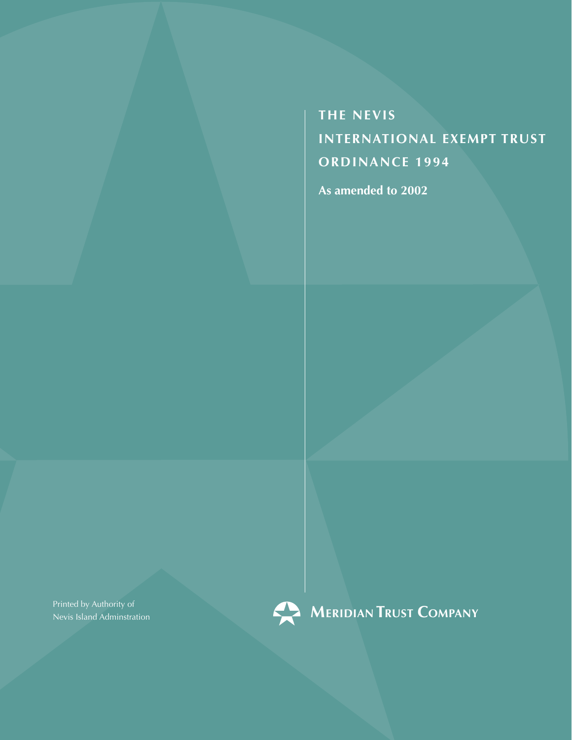**the Nevis international Exempt Trust ORDINANCE 1994** 

**As amended to 2002**

Printed by Authority of Nevis Island Adminstration



**MERIDIAN TRUST COMPANY**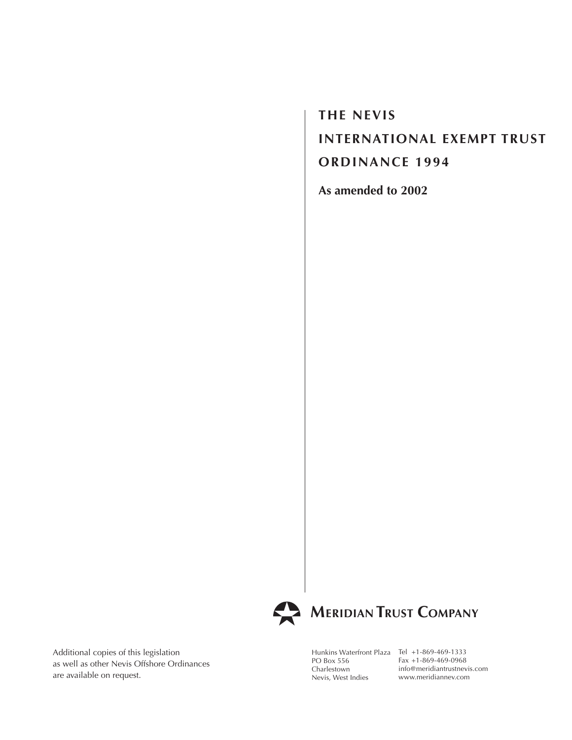**the Nevis International Exempt Trust ORDINANCE 1994** 

**As amended to 2002**



# **MERIDIAN TRUST COMPANY**

Additional copies of this legislation as well as other Nevis Offshore Ordinances are available on request.

Hunkins Waterfront Plaza Tel +1-869-469-1333 PO Box 556 Charlestown Nevis, West Indies

Fax +1-869-469-0968 info@meridiantrustnevis.com www.meridiannev.com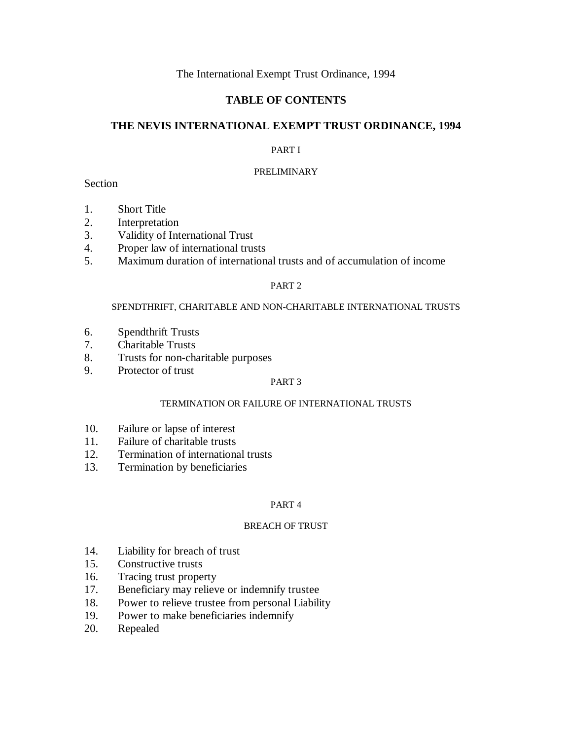# The International Exempt Trust Ordinance, 1994

# **TABLE OF CONTENTS**

# **THE NEVIS INTERNATIONAL EXEMPT TRUST ORDINANCE, 1994**

# PART I

# PRELIMINARY

# **Section**

- 1. Short Title
- 2. Interpretation
- 3. Validity of International Trust
- 4. Proper law of international trusts
- 5. Maximum duration of international trusts and of accumulation of income

# PART 2

## SPENDTHRIFT, CHARITABLE AND NON-CHARITABLE INTERNATIONAL TRUSTS

- 6. Spendthrift Trusts
- 7. Charitable Trusts
- 8. Trusts for non-charitable purposes
- 9. Protector of trust

## PART 3

# TERMINATION OR FAILURE OF INTERNATIONAL TRUSTS

- 10. Failure or lapse of interest
- 11. Failure of charitable trusts
- 12. Termination of international trusts
- 13. Termination by beneficiaries

## PART 4

## BREACH OF TRUST

- 14. Liability for breach of trust
- 15. Constructive trusts
- 16. Tracing trust property
- 17. Beneficiary may relieve or indemnify trustee
- 18. Power to relieve trustee from personal Liability
- 19. Power to make beneficiaries indemnify
- 20. Repealed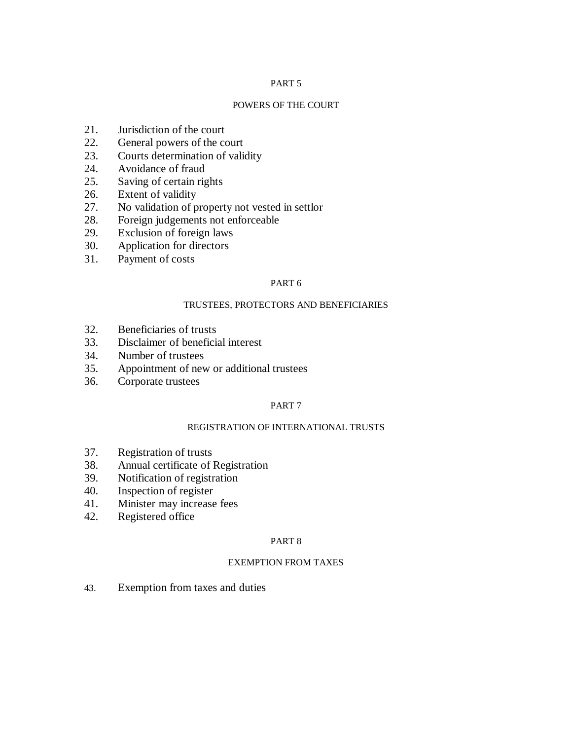## PART 5

#### POWERS OF THE COURT

- 21. Jurisdiction of the court
- 22. General powers of the court
- 23. Courts determination of validity
- 24. Avoidance of fraud
- 25. Saving of certain rights
- 26. Extent of validity
- 27. No validation of property not vested in settlor
- 28. Foreign judgements not enforceable
- 29. Exclusion of foreign laws
- 30. Application for directors
- 31. Payment of costs

# PART 6

#### TRUSTEES, PROTECTORS AND BENEFICIARIES

- 32. Beneficiaries of trusts
- 33. Disclaimer of beneficial interest
- 34. Number of trustees
- 35. Appointment of new or additional trustees
- 36. Corporate trustees

## PART 7

# REGISTRATION OF INTERNATIONAL TRUSTS

- 37. Registration of trusts
- 38. Annual certificate of Registration
- 39. Notification of registration
- 40. Inspection of register
- 41. Minister may increase fees
- 42. Registered office

#### PART 8

## EXEMPTION FROM TAXES

43. Exemption from taxes and duties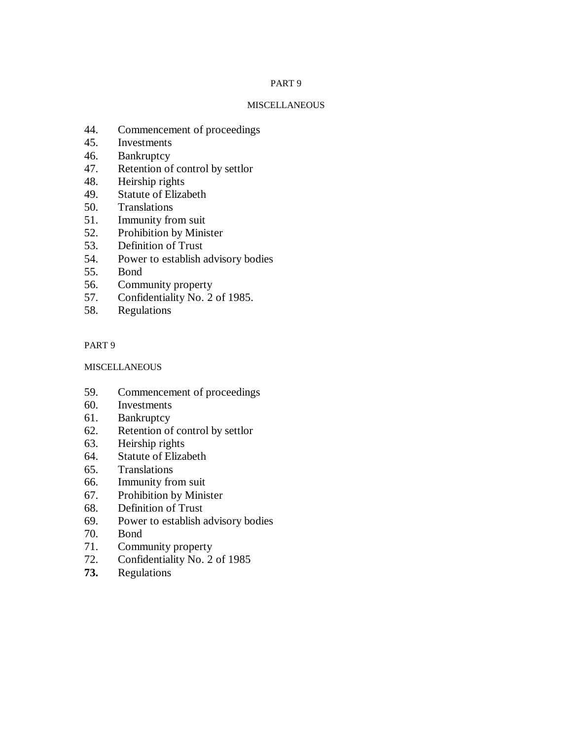## PART 9

#### **MISCELLANEOUS**

- 44. Commencement of proceedings
- 45. Investments
- 46. Bankruptcy
- 47. Retention of control by settlor
- 48. Heirship rights
- 49. Statute of Elizabeth
- 50. Translations
- 51. Immunity from suit
- 52. Prohibition by Minister
- 53. Definition of Trust
- 54. Power to establish advisory bodies
- 55. Bond
- 56. Community property
- 57. Confidentiality No. 2 of 1985.
- 58. Regulations

# PART 9

# **MISCELLANEOUS**

- 59. Commencement of proceedings
- 60. Investments
- 61. Bankruptcy
- 62. Retention of control by settlor
- 63. Heirship rights
- 64. Statute of Elizabeth
- 65. Translations
- 66. Immunity from suit
- 67. Prohibition by Minister
- 68. Definition of Trust
- 69. Power to establish advisory bodies
- 70. Bond
- 71. Community property
- 72. Confidentiality No. 2 of 1985
- **73.** Regulations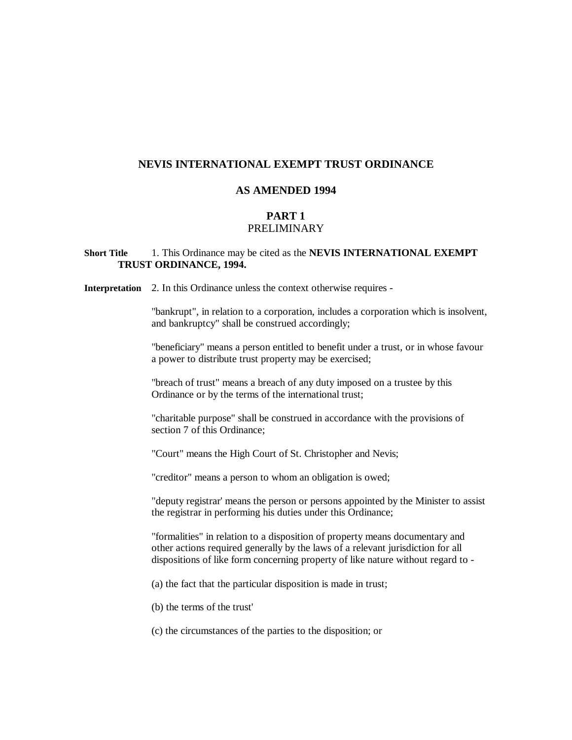# **NEVIS INTERNATIONAL EXEMPT TRUST ORDINANCE**

#### **AS AMENDED 1994**

# **PART 1**

# PRELIMINARY

# **Short Title** 1. This Ordinance may be cited as the **NEVIS INTERNATIONAL EXEMPT TRUST ORDINANCE, 1994.**

**Interpretation** 2. In this Ordinance unless the context otherwise requires -

"bankrupt", in relation to a corporation, includes a corporation which is insolvent, and bankruptcy" shall be construed accordingly;

"beneficiary" means a person entitled to benefit under a trust, or in whose favour a power to distribute trust property may be exercised;

"breach of trust" means a breach of any duty imposed on a trustee by this Ordinance or by the terms of the international trust;

"charitable purpose" shall be construed in accordance with the provisions of section 7 of this Ordinance;

"Court" means the High Court of St. Christopher and Nevis;

"creditor" means a person to whom an obligation is owed;

"deputy registrar' means the person or persons appointed by the Minister to assist the registrar in performing his duties under this Ordinance;

"formalities" in relation to a disposition of property means documentary and other actions required generally by the laws of a relevant jurisdiction for all dispositions of like form concerning property of like nature without regard to -

(a) the fact that the particular disposition is made in trust;

(b) the terms of the trust'

(c) the circumstances of the parties to the disposition; or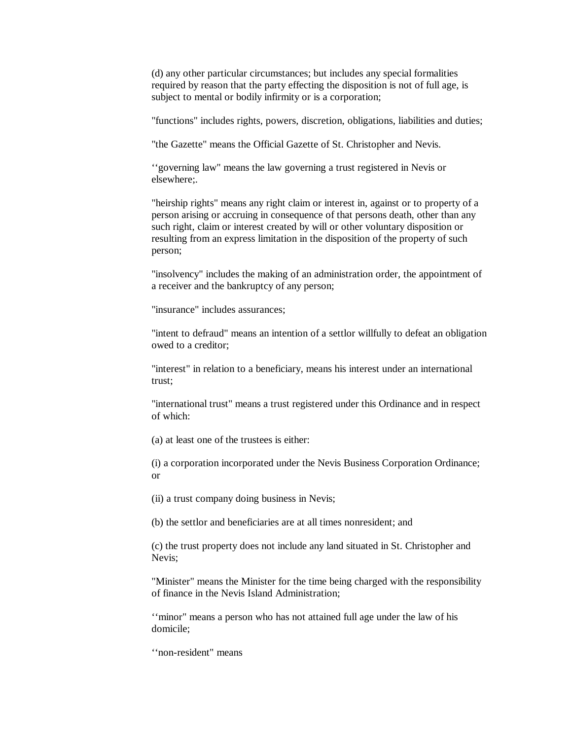(d) any other particular circumstances; but includes any special formalities required by reason that the party effecting the disposition is not of full age, is subject to mental or bodily infirmity or is a corporation;

"functions" includes rights, powers, discretion, obligations, liabilities and duties;

"the Gazette" means the Official Gazette of St. Christopher and Nevis.

''governing law" means the law governing a trust registered in Nevis or elsewhere;.

"heirship rights" means any right claim or interest in, against or to property of a person arising or accruing in consequence of that persons death, other than any such right, claim or interest created by will or other voluntary disposition or resulting from an express limitation in the disposition of the property of such person;

"insolvency" includes the making of an administration order, the appointment of a receiver and the bankruptcy of any person;

"insurance" includes assurances;

"intent to defraud" means an intention of a settlor willfully to defeat an obligation owed to a creditor;

"interest" in relation to a beneficiary, means his interest under an international trust;

"international trust" means a trust registered under this Ordinance and in respect of which:

(a) at least one of the trustees is either:

(i) a corporation incorporated under the Nevis Business Corporation Ordinance; or

(ii) a trust company doing business in Nevis;

(b) the settlor and beneficiaries are at all times nonresident; and

(c) the trust property does not include any land situated in St. Christopher and Nevis;

"Minister" means the Minister for the time being charged with the responsibility of finance in the Nevis Island Administration;

''minor" means a person who has not attained full age under the law of his domicile;

''non-resident" means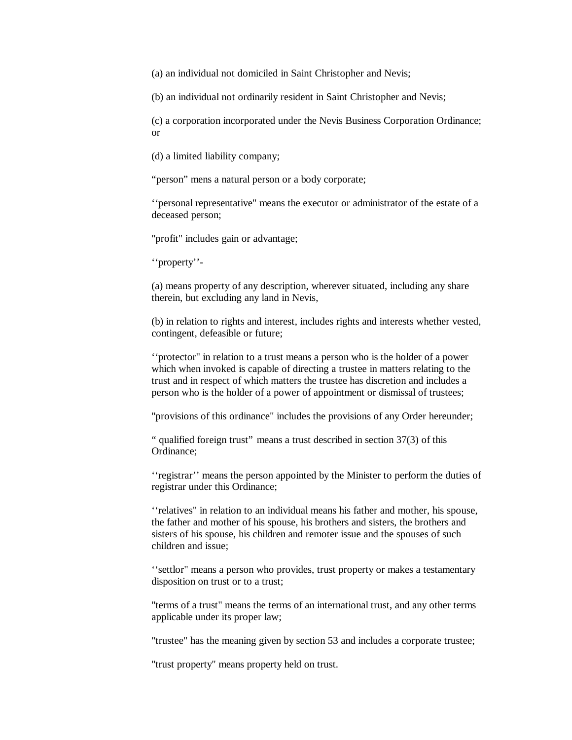(a) an individual not domiciled in Saint Christopher and Nevis;

(b) an individual not ordinarily resident in Saint Christopher and Nevis;

(c) a corporation incorporated under the Nevis Business Corporation Ordinance; or

(d) a limited liability company;

"person" mens a natural person or a body corporate;

''personal representative" means the executor or administrator of the estate of a deceased person;

"profit" includes gain or advantage;

''property''-

(a) means property of any description, wherever situated, including any share therein, but excluding any land in Nevis,

(b) in relation to rights and interest, includes rights and interests whether vested, contingent, defeasible or future;

''protector" in relation to a trust means a person who is the holder of a power which when invoked is capable of directing a trustee in matters relating to the trust and in respect of which matters the trustee has discretion and includes a person who is the holder of a power of appointment or dismissal of trustees;

"provisions of this ordinance" includes the provisions of any Order hereunder;

" qualified foreign trust" means a trust described in section 37(3) of this Ordinance;

''registrar'' means the person appointed by the Minister to perform the duties of registrar under this Ordinance;

''relatives" in relation to an individual means his father and mother, his spouse, the father and mother of his spouse, his brothers and sisters, the brothers and sisters of his spouse, his children and remoter issue and the spouses of such children and issue;

''settlor" means a person who provides, trust property or makes a testamentary disposition on trust or to a trust;

"terms of a trust" means the terms of an international trust, and any other terms applicable under its proper law;

"trustee" has the meaning given by section 53 and includes a corporate trustee;

"trust property" means property held on trust.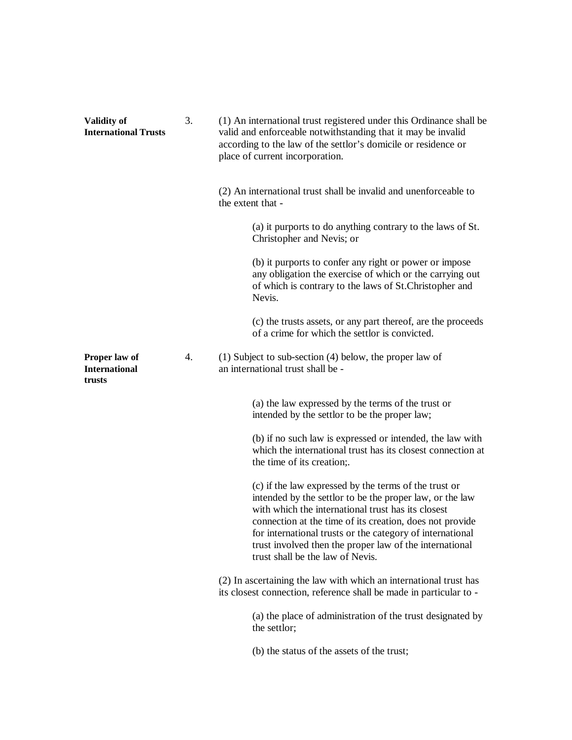| <b>Validity of</b><br><b>International Trusts</b> | 3. | (1) An international trust registered under this Ordinance shall be<br>valid and enforceable notwithstanding that it may be invalid<br>according to the law of the settlor's domicile or residence or<br>place of current incorporation.                                                                                                                                                        |
|---------------------------------------------------|----|-------------------------------------------------------------------------------------------------------------------------------------------------------------------------------------------------------------------------------------------------------------------------------------------------------------------------------------------------------------------------------------------------|
|                                                   |    | (2) An international trust shall be invalid and unenforceable to<br>the extent that -                                                                                                                                                                                                                                                                                                           |
|                                                   |    | (a) it purports to do anything contrary to the laws of St.<br>Christopher and Nevis; or                                                                                                                                                                                                                                                                                                         |
|                                                   |    | (b) it purports to confer any right or power or impose<br>any obligation the exercise of which or the carrying out<br>of which is contrary to the laws of St.Christopher and<br>Nevis.                                                                                                                                                                                                          |
|                                                   |    | (c) the trusts assets, or any part thereof, are the proceeds<br>of a crime for which the settlor is convicted.                                                                                                                                                                                                                                                                                  |
| Proper law of<br><b>International</b><br>trusts   | 4. | $(1)$ Subject to sub-section $(4)$ below, the proper law of<br>an international trust shall be -                                                                                                                                                                                                                                                                                                |
|                                                   |    | (a) the law expressed by the terms of the trust or<br>intended by the settlor to be the proper law;                                                                                                                                                                                                                                                                                             |
|                                                   |    | (b) if no such law is expressed or intended, the law with<br>which the international trust has its closest connection at<br>the time of its creation;.                                                                                                                                                                                                                                          |
|                                                   |    | (c) if the law expressed by the terms of the trust or<br>intended by the settlor to be the proper law, or the law<br>with which the international trust has its closest<br>connection at the time of its creation, does not provide<br>for international trusts or the category of international<br>trust involved then the proper law of the international<br>trust shall be the law of Nevis. |
|                                                   |    | (2) In ascertaining the law with which an international trust has<br>its closest connection, reference shall be made in particular to -                                                                                                                                                                                                                                                         |
|                                                   |    | (a) the place of administration of the trust designated by<br>the settlor;                                                                                                                                                                                                                                                                                                                      |
|                                                   |    | (b) the status of the assets of the trust;                                                                                                                                                                                                                                                                                                                                                      |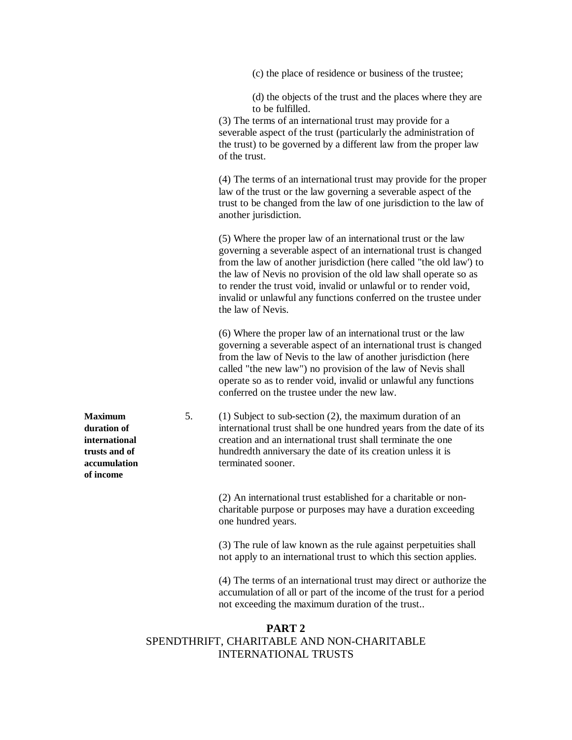(c) the place of residence or business of the trustee;

(d) the objects of the trust and the places where they are to be fulfilled.

(3) The terms of an international trust may provide for a severable aspect of the trust (particularly the administration of the trust) to be governed by a different law from the proper law of the trust.

(4) The terms of an international trust may provide for the proper law of the trust or the law governing a severable aspect of the trust to be changed from the law of one jurisdiction to the law of another jurisdiction.

(5) Where the proper law of an international trust or the law governing a severable aspect of an international trust is changed from the law of another jurisdiction (here called "the old law') to the law of Nevis no provision of the old law shall operate so as to render the trust void, invalid or unlawful or to render void, invalid or unlawful any functions conferred on the trustee under the law of Nevis.

(6) Where the proper law of an international trust or the law governing a severable aspect of an international trust is changed from the law of Nevis to the law of another jurisdiction (here called "the new law") no provision of the law of Nevis shall operate so as to render void, invalid or unlawful any functions conferred on the trustee under the new law.

**Maximum** 5. (1) Subject to sub-section (2), the maximum duration of an **duration of** international trust shall be one hundred years from the date of its **international** creation and an international trust shall terminate the one **trusts and of** hundredth anniversary the date of its creation unless it is **accumulation** terminated sooner.

> (2) An international trust established for a charitable or noncharitable purpose or purposes may have a duration exceeding one hundred years.

> (3) The rule of law known as the rule against perpetuities shall not apply to an international trust to which this section applies.

(4) The terms of an international trust may direct or authorize the accumulation of all or part of the income of the trust for a period not exceeding the maximum duration of the trust..

# **PART 2** SPENDTHRIFT, CHARITABLE AND NON-CHARITABLE INTERNATIONAL TRUSTS

**of income**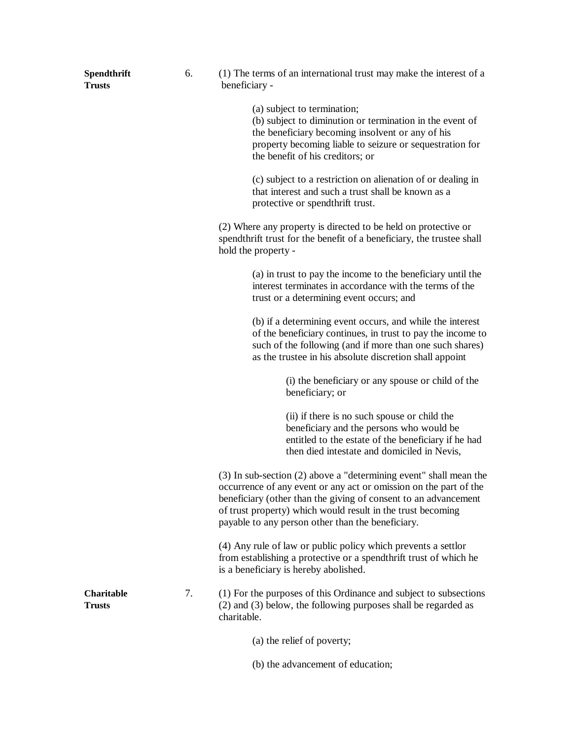| Spendthrift<br><b>Trusts</b>       | 6. | (1) The terms of an international trust may make the interest of a<br>beneficiary -                                                                                                                                                                                                                                           |
|------------------------------------|----|-------------------------------------------------------------------------------------------------------------------------------------------------------------------------------------------------------------------------------------------------------------------------------------------------------------------------------|
|                                    |    | (a) subject to termination;<br>(b) subject to diminution or termination in the event of<br>the beneficiary becoming insolvent or any of his<br>property becoming liable to seizure or sequestration for<br>the benefit of his creditors; or                                                                                   |
|                                    |    | (c) subject to a restriction on alienation of or dealing in<br>that interest and such a trust shall be known as a<br>protective or spendthrift trust.                                                                                                                                                                         |
|                                    |    | (2) Where any property is directed to be held on protective or<br>spendthrift trust for the benefit of a beneficiary, the trustee shall<br>hold the property -                                                                                                                                                                |
|                                    |    | (a) in trust to pay the income to the beneficiary until the<br>interest terminates in accordance with the terms of the<br>trust or a determining event occurs; and                                                                                                                                                            |
|                                    |    | (b) if a determining event occurs, and while the interest<br>of the beneficiary continues, in trust to pay the income to<br>such of the following (and if more than one such shares)<br>as the trustee in his absolute discretion shall appoint                                                                               |
|                                    |    | (i) the beneficiary or any spouse or child of the<br>beneficiary; or                                                                                                                                                                                                                                                          |
|                                    |    | (ii) if there is no such spouse or child the<br>beneficiary and the persons who would be<br>entitled to the estate of the beneficiary if he had<br>then died intestate and domiciled in Nevis,                                                                                                                                |
|                                    |    | (3) In sub-section (2) above a "determining event" shall mean the<br>occurrence of any event or any act or omission on the part of the<br>beneficiary (other than the giving of consent to an advancement<br>of trust property) which would result in the trust becoming<br>payable to any person other than the beneficiary. |
|                                    |    | (4) Any rule of law or public policy which prevents a settlor<br>from establishing a protective or a spendthrift trust of which he<br>is a beneficiary is hereby abolished.                                                                                                                                                   |
| <b>Charitable</b><br><b>Trusts</b> | 7. | (1) For the purposes of this Ordinance and subject to subsections<br>(2) and (3) below, the following purposes shall be regarded as<br>charitable.                                                                                                                                                                            |
|                                    |    | (a) the relief of poverty;                                                                                                                                                                                                                                                                                                    |
|                                    |    | (b) the advancement of education;                                                                                                                                                                                                                                                                                             |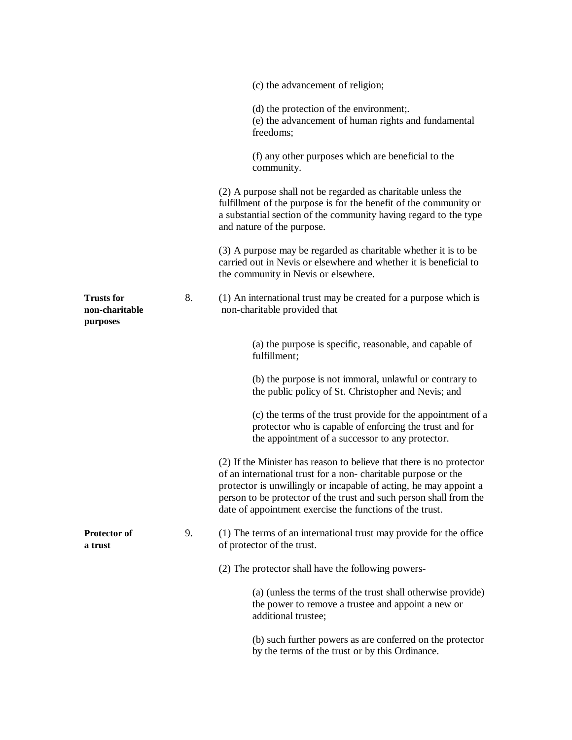|                                                 |    | (c) the advancement of religion;                                                                                                                                                                                                                                                                                                             |
|-------------------------------------------------|----|----------------------------------------------------------------------------------------------------------------------------------------------------------------------------------------------------------------------------------------------------------------------------------------------------------------------------------------------|
|                                                 |    | (d) the protection of the environment;.<br>(e) the advancement of human rights and fundamental<br>freedoms;                                                                                                                                                                                                                                  |
|                                                 |    | (f) any other purposes which are beneficial to the<br>community.                                                                                                                                                                                                                                                                             |
|                                                 |    | (2) A purpose shall not be regarded as charitable unless the<br>fulfillment of the purpose is for the benefit of the community or<br>a substantial section of the community having regard to the type<br>and nature of the purpose.                                                                                                          |
|                                                 |    | (3) A purpose may be regarded as charitable whether it is to be<br>carried out in Nevis or elsewhere and whether it is beneficial to<br>the community in Nevis or elsewhere.                                                                                                                                                                 |
| <b>Trusts for</b><br>non-charitable<br>purposes | 8. | (1) An international trust may be created for a purpose which is<br>non-charitable provided that                                                                                                                                                                                                                                             |
|                                                 |    | (a) the purpose is specific, reasonable, and capable of<br>fulfillment;                                                                                                                                                                                                                                                                      |
|                                                 |    | (b) the purpose is not immoral, unlawful or contrary to<br>the public policy of St. Christopher and Nevis; and                                                                                                                                                                                                                               |
|                                                 |    | (c) the terms of the trust provide for the appointment of a<br>protector who is capable of enforcing the trust and for<br>the appointment of a successor to any protector.                                                                                                                                                                   |
|                                                 |    | (2) If the Minister has reason to believe that there is no protector<br>of an international trust for a non-charitable purpose or the<br>protector is unwillingly or incapable of acting, he may appoint a<br>person to be protector of the trust and such person shall from the<br>date of appointment exercise the functions of the trust. |
| <b>Protector of</b><br>a trust                  | 9. | (1) The terms of an international trust may provide for the office<br>of protector of the trust.                                                                                                                                                                                                                                             |
|                                                 |    | (2) The protector shall have the following powers-                                                                                                                                                                                                                                                                                           |
|                                                 |    | (a) (unless the terms of the trust shall otherwise provide)<br>the power to remove a trustee and appoint a new or<br>additional trustee;                                                                                                                                                                                                     |
|                                                 |    | (b) such further powers as are conferred on the protector<br>by the terms of the trust or by this Ordinance.                                                                                                                                                                                                                                 |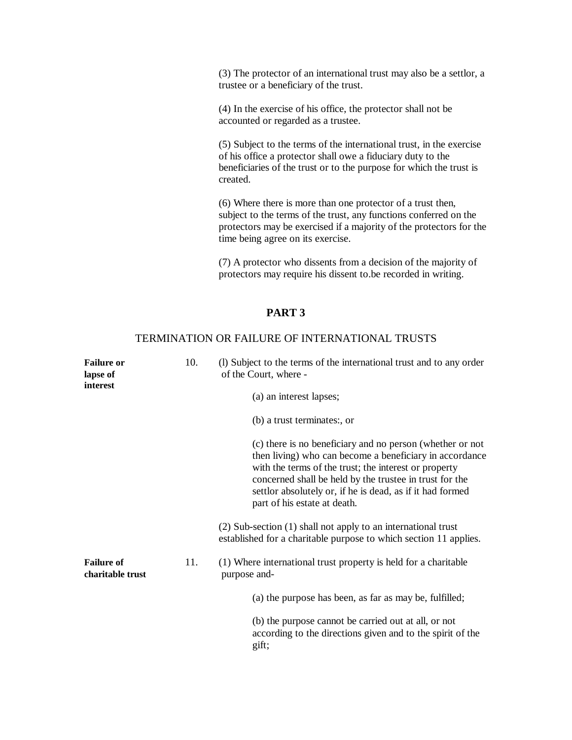(3) The protector of an international trust may also be a settlor, a trustee or a beneficiary of the trust.

(4) In the exercise of his office, the protector shall not be accounted or regarded as a trustee.

(5) Subject to the terms of the international trust, in the exercise of his office a protector shall owe a fiduciary duty to the beneficiaries of the trust or to the purpose for which the trust is created.

(6) Where there is more than one protector of a trust then, subject to the terms of the trust, any functions conferred on the protectors may be exercised if a majority of the protectors for the time being agree on its exercise.

(7) A protector who dissents from a decision of the majority of protectors may require his dissent to.be recorded in writing.

# **PART 3**

#### TERMINATION OR FAILURE OF INTERNATIONAL TRUSTS

| 10.<br><b>Failure or</b><br>lapse of<br>interest |     | (1) Subject to the terms of the international trust and to any order<br>of the Court, where -                                                                                                                                                                                                                                         |  |
|--------------------------------------------------|-----|---------------------------------------------------------------------------------------------------------------------------------------------------------------------------------------------------------------------------------------------------------------------------------------------------------------------------------------|--|
|                                                  |     | (a) an interest lapses;                                                                                                                                                                                                                                                                                                               |  |
|                                                  |     | (b) a trust terminates:, or                                                                                                                                                                                                                                                                                                           |  |
|                                                  |     | (c) there is no beneficiary and no person (whether or not<br>then living) who can become a beneficiary in accordance<br>with the terms of the trust; the interest or property<br>concerned shall be held by the trustee in trust for the<br>settlor absolutely or, if he is dead, as if it had formed<br>part of his estate at death. |  |
|                                                  |     | (2) Sub-section (1) shall not apply to an international trust<br>established for a charitable purpose to which section 11 applies.                                                                                                                                                                                                    |  |
| <b>Failure of</b><br>charitable trust            | 11. | (1) Where international trust property is held for a charitable<br>purpose and-                                                                                                                                                                                                                                                       |  |
|                                                  |     | (a) the purpose has been, as far as may be, fulfilled;                                                                                                                                                                                                                                                                                |  |
|                                                  |     | (b) the purpose cannot be carried out at all, or not<br>according to the directions given and to the spirit of the<br>gift;                                                                                                                                                                                                           |  |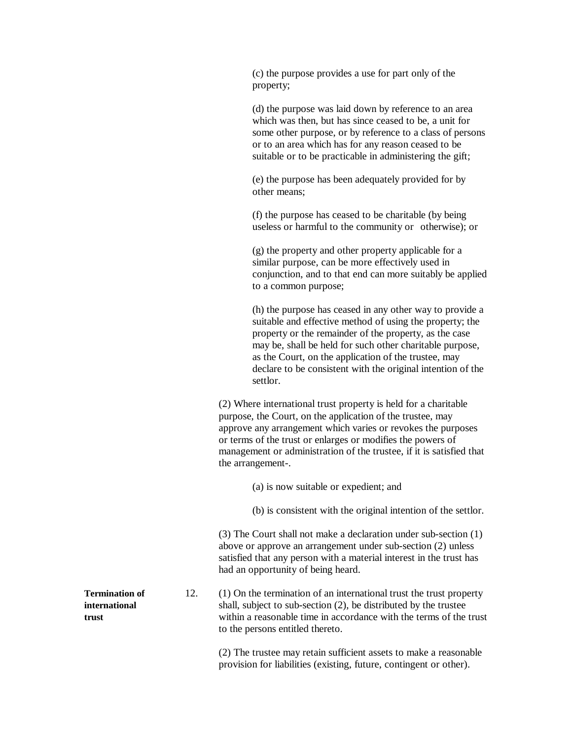(c) the purpose provides a use for part only of the property;

(d) the purpose was laid down by reference to an area which was then, but has since ceased to be, a unit for some other purpose, or by reference to a class of persons or to an area which has for any reason ceased to be suitable or to be practicable in administering the gift;

(e) the purpose has been adequately provided for by other means;

(f) the purpose has ceased to be charitable (by being useless or harmful to the community or otherwise); or

(g) the property and other property applicable for a similar purpose, can be more effectively used in conjunction, and to that end can more suitably be applied to a common purpose;

(h) the purpose has ceased in any other way to provide a suitable and effective method of using the property; the property or the remainder of the property, as the case may be, shall be held for such other charitable purpose, as the Court, on the application of the trustee, may declare to be consistent with the original intention of the settlor.

(2) Where international trust property is held for a charitable purpose, the Court, on the application of the trustee, may approve any arrangement which varies or revokes the purposes or terms of the trust or enlarges or modifies the powers of management or administration of the trustee, if it is satisfied that the arrangement-.

(a) is now suitable or expedient; and

(b) is consistent with the original intention of the settlor.

(3) The Court shall not make a declaration under sub-section (1) above or approve an arrangement under sub-section (2) unless satisfied that any person with a material interest in the trust has had an opportunity of being heard.

**Termination of** 12. (1) On the termination of an international trust the trust property **international** shall, subject to sub-section (2), be distributed by the trustee **trust** within a reasonable time in accordance with the terms of the trust to the persons entitled thereto.

> (2) The trustee may retain sufficient assets to make a reasonable provision for liabilities (existing, future, contingent or other).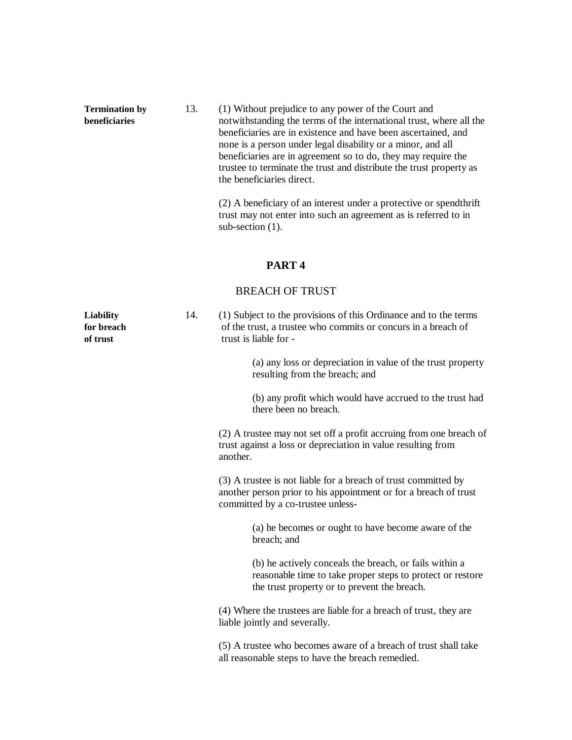**Termination by** 13. (1) Without prejudice to any power of the Court and **beneficiaries** notwithstanding the terms of the international trust, where all the beneficiaries are in existence and have been ascertained, and none is a person under legal disability or a minor, and all beneficiaries are in agreement so to do, they may require the trustee to terminate the trust and distribute the trust property as the beneficiaries direct.

> (2) A beneficiary of an interest under a protective or spendthrift trust may not enter into such an agreement as is referred to in sub-section  $(1)$ .

#### **PART 4**

# BREACH OF TRUST

**Liability** 14. (1) Subject to the provisions of this Ordinance and to the terms **for breach** of the trust, a trustee who commits or concurs in a breach of **of trust** trust is liable for -(a) any loss or depreciation in value of the trust property resulting from the breach; and (b) any profit which would have accrued to the trust had there been no breach. (2) A trustee may not set off a profit accruing from one breach of trust against a loss or depreciation in value resulting from another. (3) A trustee is not liable for a breach of trust committed by another person prior to his appointment or for a breach of trust committed by a co-trustee unless- (a) he becomes or ought to have become aware of the breach; and (b) he actively conceals the breach, or fails within a reasonable time to take proper steps to protect or restore the trust property or to prevent the breach. (4) Where the trustees are liable for a breach of trust, they are liable jointly and severally. (5) A trustee who becomes aware of a breach of trust shall take all reasonable steps to have the breach remedied.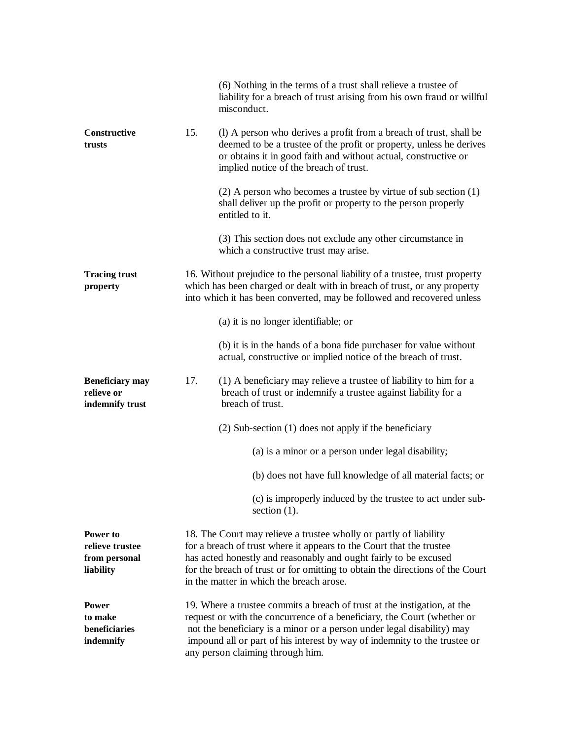|                                                           |     | (6) Nothing in the terms of a trust shall relieve a trustee of<br>liability for a breach of trust arising from his own fraud or willful<br>misconduct.                                                                                                                                                                                         |
|-----------------------------------------------------------|-----|------------------------------------------------------------------------------------------------------------------------------------------------------------------------------------------------------------------------------------------------------------------------------------------------------------------------------------------------|
| Constructive<br>trusts                                    | 15. | (1) A person who derives a profit from a breach of trust, shall be<br>deemed to be a trustee of the profit or property, unless he derives<br>or obtains it in good faith and without actual, constructive or<br>implied notice of the breach of trust.                                                                                         |
|                                                           |     | $(2)$ A person who becomes a trustee by virtue of sub section $(1)$<br>shall deliver up the profit or property to the person properly<br>entitled to it.                                                                                                                                                                                       |
|                                                           |     | (3) This section does not exclude any other circumstance in<br>which a constructive trust may arise.                                                                                                                                                                                                                                           |
| <b>Tracing trust</b><br>property                          |     | 16. Without prejudice to the personal liability of a trustee, trust property<br>which has been charged or dealt with in breach of trust, or any property<br>into which it has been converted, may be followed and recovered unless                                                                                                             |
|                                                           |     | (a) it is no longer identifiable; or                                                                                                                                                                                                                                                                                                           |
|                                                           |     | (b) it is in the hands of a bona fide purchaser for value without<br>actual, constructive or implied notice of the breach of trust.                                                                                                                                                                                                            |
| <b>Beneficiary may</b><br>relieve or<br>indemnify trust   | 17. | (1) A beneficiary may relieve a trustee of liability to him for a<br>breach of trust or indemnify a trustee against liability for a<br>breach of trust.                                                                                                                                                                                        |
|                                                           |     | $(2)$ Sub-section $(1)$ does not apply if the beneficiary                                                                                                                                                                                                                                                                                      |
|                                                           |     | (a) is a minor or a person under legal disability;                                                                                                                                                                                                                                                                                             |
|                                                           |     | (b) does not have full knowledge of all material facts; or                                                                                                                                                                                                                                                                                     |
|                                                           |     | (c) is improperly induced by the trustee to act under sub-<br>section $(1)$ .                                                                                                                                                                                                                                                                  |
| Power to<br>relieve trustee<br>from personal<br>liability |     | 18. The Court may relieve a trustee wholly or partly of liability<br>for a breach of trust where it appears to the Court that the trustee<br>has acted honestly and reasonably and ought fairly to be excused<br>for the breach of trust or for omitting to obtain the directions of the Court<br>in the matter in which the breach arose.     |
| <b>Power</b><br>to make<br>beneficiaries<br>indemnify     |     | 19. Where a trustee commits a breach of trust at the instigation, at the<br>request or with the concurrence of a beneficiary, the Court (whether or<br>not the beneficiary is a minor or a person under legal disability) may<br>impound all or part of his interest by way of indemnity to the trustee or<br>any person claiming through him. |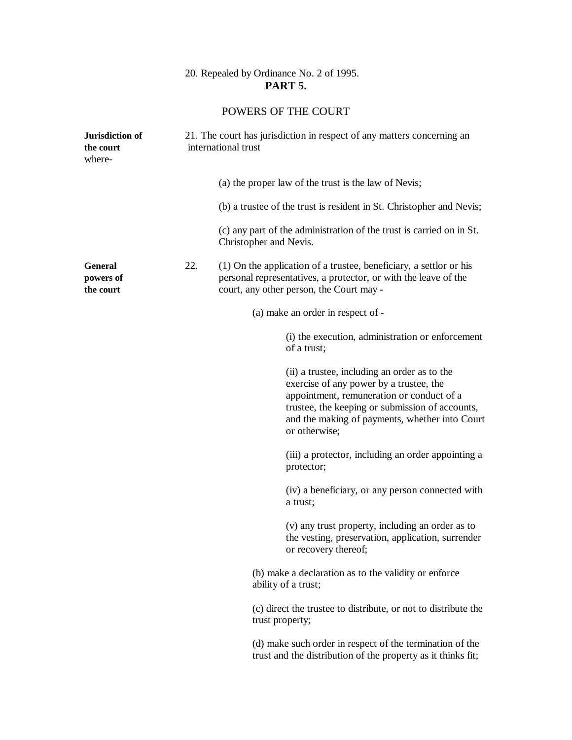# 20. Repealed by Ordinance No. 2 of 1995. **PART 5.**

# POWERS OF THE COURT

| Jurisdiction of<br>the court<br>where-   |     | 21. The court has jurisdiction in respect of any matters concerning an<br>international trust                                                                                                                                                              |  |
|------------------------------------------|-----|------------------------------------------------------------------------------------------------------------------------------------------------------------------------------------------------------------------------------------------------------------|--|
|                                          |     | (a) the proper law of the trust is the law of Nevis;                                                                                                                                                                                                       |  |
|                                          |     | (b) a trustee of the trust is resident in St. Christopher and Nevis;                                                                                                                                                                                       |  |
|                                          |     | (c) any part of the administration of the trust is carried on in St.<br>Christopher and Nevis.                                                                                                                                                             |  |
| <b>General</b><br>powers of<br>the court | 22. | (1) On the application of a trustee, beneficiary, a settlor or his<br>personal representatives, a protector, or with the leave of the<br>court, any other person, the Court may -                                                                          |  |
|                                          |     | (a) make an order in respect of -                                                                                                                                                                                                                          |  |
|                                          |     | (i) the execution, administration or enforcement<br>of a trust;                                                                                                                                                                                            |  |
|                                          |     | (ii) a trustee, including an order as to the<br>exercise of any power by a trustee, the<br>appointment, remuneration or conduct of a<br>trustee, the keeping or submission of accounts,<br>and the making of payments, whether into Court<br>or otherwise; |  |
|                                          |     | (iii) a protector, including an order appointing a<br>protector;                                                                                                                                                                                           |  |
|                                          |     | (iv) a beneficiary, or any person connected with<br>a trust;                                                                                                                                                                                               |  |
|                                          |     | (v) any trust property, including an order as to<br>the vesting, preservation, application, surrender<br>or recovery thereof;                                                                                                                              |  |
|                                          |     | (b) make a declaration as to the validity or enforce<br>ability of a trust;                                                                                                                                                                                |  |
|                                          |     | (c) direct the trustee to distribute, or not to distribute the<br>trust property;                                                                                                                                                                          |  |
|                                          |     | (d) make such order in respect of the termination of the<br>trust and the distribution of the property as it thinks fit;                                                                                                                                   |  |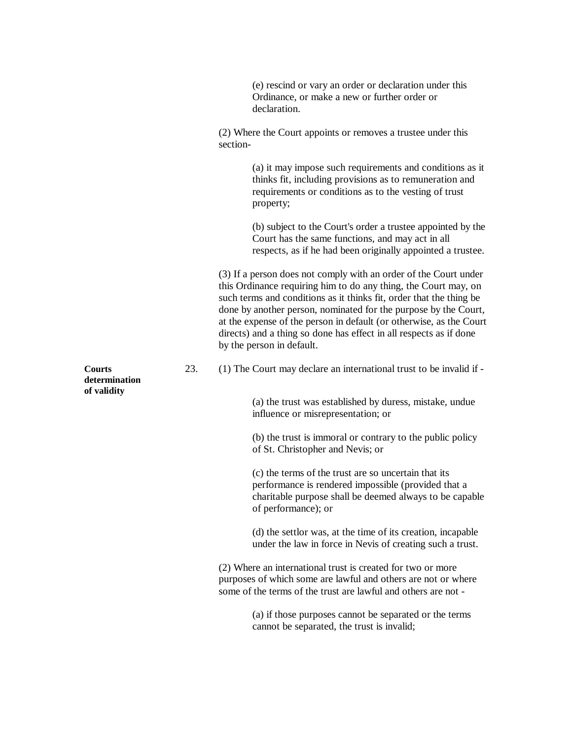(e) rescind or vary an order or declaration under this Ordinance, or make a new or further order or declaration.

(2) Where the Court appoints or removes a trustee under this section-

> (a) it may impose such requirements and conditions as it thinks fit, including provisions as to remuneration and requirements or conditions as to the vesting of trust property;

> (b) subject to the Court's order a trustee appointed by the Court has the same functions, and may act in all respects, as if he had been originally appointed a trustee.

(3) If a person does not comply with an order of the Court under this Ordinance requiring him to do any thing, the Court may, on such terms and conditions as it thinks fit, order that the thing be done by another person, nominated for the purpose by the Court, at the expense of the person in default (or otherwise, as the Court directs) and a thing so done has effect in all respects as if done by the person in default.

**Courts** 23. (1) The Court may declare an international trust to be invalid if -

(a) the trust was established by duress, mistake, undue influence or misrepresentation; or

(b) the trust is immoral or contrary to the public policy of St. Christopher and Nevis; or

(c) the terms of the trust are so uncertain that its performance is rendered impossible (provided that a charitable purpose shall be deemed always to be capable of performance); or

(d) the settlor was, at the time of its creation, incapable under the law in force in Nevis of creating such a trust.

(2) Where an international trust is created for two or more purposes of which some are lawful and others are not or where some of the terms of the trust are lawful and others are not -

> (a) if those purposes cannot be separated or the terms cannot be separated, the trust is invalid;

**determination of validity**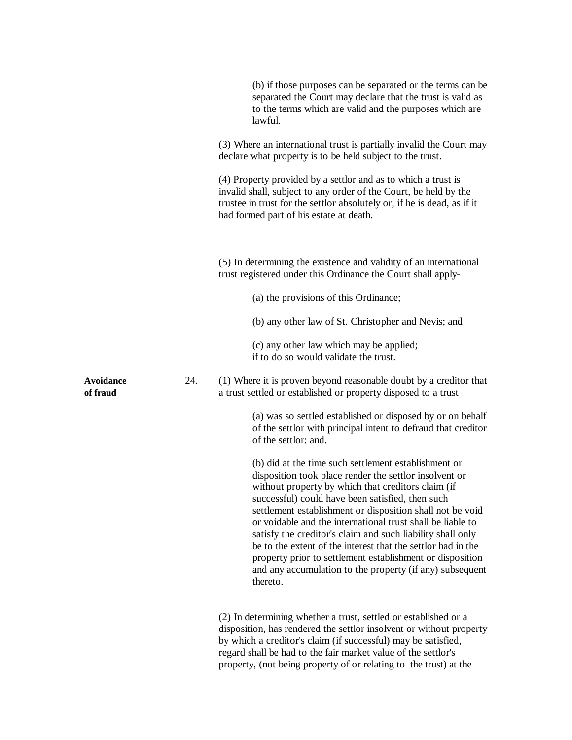|                              |     | (b) if those purposes can be separated or the terms can be<br>separated the Court may declare that the trust is valid as<br>to the terms which are valid and the purposes which are<br>lawful.                                                                                                                                                                                                                                                                                                                                                                                                                         |
|------------------------------|-----|------------------------------------------------------------------------------------------------------------------------------------------------------------------------------------------------------------------------------------------------------------------------------------------------------------------------------------------------------------------------------------------------------------------------------------------------------------------------------------------------------------------------------------------------------------------------------------------------------------------------|
|                              |     | (3) Where an international trust is partially invalid the Court may<br>declare what property is to be held subject to the trust.                                                                                                                                                                                                                                                                                                                                                                                                                                                                                       |
|                              |     | (4) Property provided by a settlor and as to which a trust is<br>invalid shall, subject to any order of the Court, be held by the<br>trustee in trust for the settlor absolutely or, if he is dead, as if it<br>had formed part of his estate at death.                                                                                                                                                                                                                                                                                                                                                                |
|                              |     | (5) In determining the existence and validity of an international<br>trust registered under this Ordinance the Court shall apply-                                                                                                                                                                                                                                                                                                                                                                                                                                                                                      |
|                              |     | (a) the provisions of this Ordinance;                                                                                                                                                                                                                                                                                                                                                                                                                                                                                                                                                                                  |
|                              |     | (b) any other law of St. Christopher and Nevis; and                                                                                                                                                                                                                                                                                                                                                                                                                                                                                                                                                                    |
|                              |     | (c) any other law which may be applied;<br>if to do so would validate the trust.                                                                                                                                                                                                                                                                                                                                                                                                                                                                                                                                       |
| <b>Avoidance</b><br>of fraud | 24. | (1) Where it is proven beyond reasonable doubt by a creditor that<br>a trust settled or established or property disposed to a trust                                                                                                                                                                                                                                                                                                                                                                                                                                                                                    |
|                              |     | (a) was so settled established or disposed by or on behalf<br>of the settlor with principal intent to defraud that creditor<br>of the settlor; and.                                                                                                                                                                                                                                                                                                                                                                                                                                                                    |
|                              |     | (b) did at the time such settlement establishment or<br>disposition took place render the settlor insolvent or<br>without property by which that creditors claim (if<br>successful) could have been satisfied, then such<br>settlement establishment or disposition shall not be void<br>or voidable and the international trust shall be liable to<br>satisfy the creditor's claim and such liability shall only<br>be to the extent of the interest that the settlor had in the<br>property prior to settlement establishment or disposition<br>and any accumulation to the property (if any) subsequent<br>thereto. |
|                              |     | (2) In determining whether a trust, settled or established or a<br>disposition, has rendered the settlor insolvent or without property<br>by which a creditor's claim (if successful) may be satisfied,<br>regard shall be had to the fair market value of the settlor's<br>property, (not being property of or relating to the trust) at the                                                                                                                                                                                                                                                                          |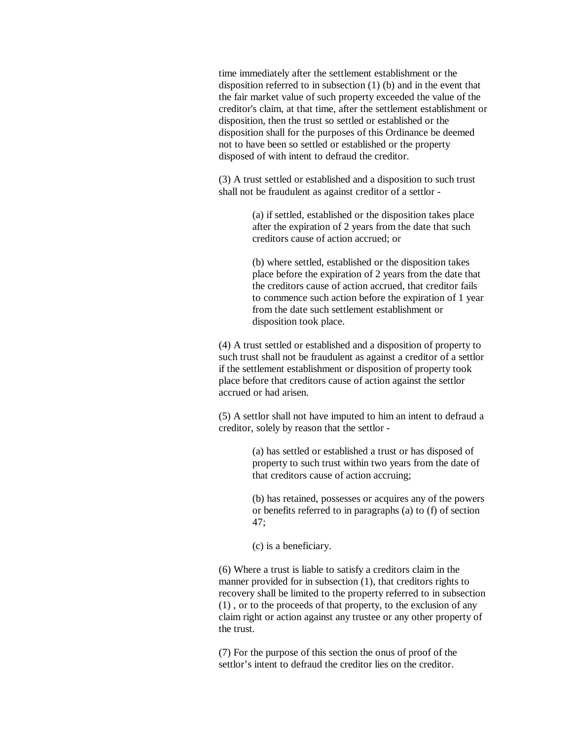time immediately after the settlement establishment or the disposition referred to in subsection (1) (b) and in the event that the fair market value of such property exceeded the value of the creditor's claim, at that time, after the settlement establishment or disposition, then the trust so settled or established or the disposition shall for the purposes of this Ordinance be deemed not to have been so settled or established or the property disposed of with intent to defraud the creditor.

(3) A trust settled or established and a disposition to such trust shall not be fraudulent as against creditor of a settlor -

> (a) if settled, established or the disposition takes place after the expiration of 2 years from the date that such creditors cause of action accrued; or

(b) where settled, established or the disposition takes place before the expiration of 2 years from the date that the creditors cause of action accrued, that creditor fails to commence such action before the expiration of 1 year from the date such settlement establishment or disposition took place.

(4) A trust settled or established and a disposition of property to such trust shall not be fraudulent as against a creditor of a settlor if the settlement establishment or disposition of property took place before that creditors cause of action against the settlor accrued or had arisen.

(5) A settlor shall not have imputed to him an intent to defraud a creditor, solely by reason that the settlor -

> (a) has settled or established a trust or has disposed of property to such trust within two years from the date of that creditors cause of action accruing;

(b) has retained, possesses or acquires any of the powers or benefits referred to in paragraphs (a) to (f) of section 47;

(c) is a beneficiary.

(6) Where a trust is liable to satisfy a creditors claim in the manner provided for in subsection (1), that creditors rights to recovery shall be limited to the property referred to in subsection (1) , or to the proceeds of that property, to the exclusion of any claim right or action against any trustee or any other property of the trust.

(7) For the purpose of this section the onus of proof of the settlor's intent to defraud the creditor lies on the creditor.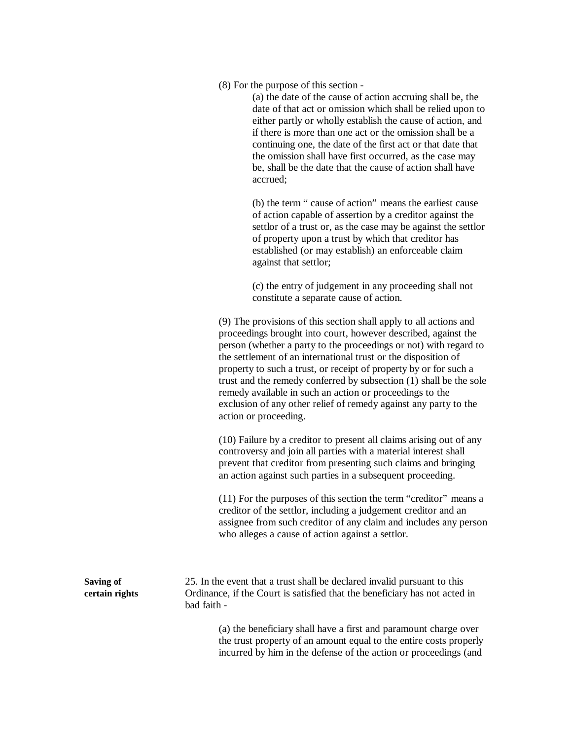(8) For the purpose of this section -

(a) the date of the cause of action accruing shall be, the date of that act or omission which shall be relied upon to either partly or wholly establish the cause of action, and if there is more than one act or the omission shall be a continuing one, the date of the first act or that date that the omission shall have first occurred, as the case may be, shall be the date that the cause of action shall have accrued;

(b) the term " cause of action" means the earliest cause of action capable of assertion by a creditor against the settlor of a trust or, as the case may be against the settlor of property upon a trust by which that creditor has established (or may establish) an enforceable claim against that settlor;

(c) the entry of judgement in any proceeding shall not constitute a separate cause of action.

(9) The provisions of this section shall apply to all actions and proceedings brought into court, however described, against the person (whether a party to the proceedings or not) with regard to the settlement of an international trust or the disposition of property to such a trust, or receipt of property by or for such a trust and the remedy conferred by subsection (1) shall be the sole remedy available in such an action or proceedings to the exclusion of any other relief of remedy against any party to the action or proceeding.

(10) Failure by a creditor to present all claims arising out of any controversy and join all parties with a material interest shall prevent that creditor from presenting such claims and bringing an action against such parties in a subsequent proceeding.

(11) For the purposes of this section the term "creditor" means a creditor of the settlor, including a judgement creditor and an assignee from such creditor of any claim and includes any person who alleges a cause of action against a settlor.

**Saving of** 25. In the event that a trust shall be declared invalid pursuant to this **certain rights** Ordinance, if the Court is satisfied that the beneficiary has not acted in bad faith -

> (a) the beneficiary shall have a first and paramount charge over the trust property of an amount equal to the entire costs properly incurred by him in the defense of the action or proceedings (and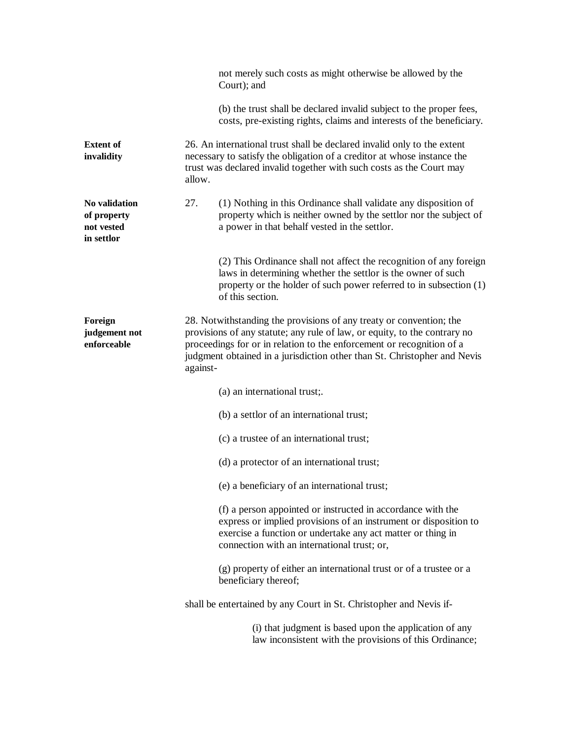|                                                          | not merely such costs as might otherwise be allowed by the<br>Court); and                                                                                                                                                                                                                                         |
|----------------------------------------------------------|-------------------------------------------------------------------------------------------------------------------------------------------------------------------------------------------------------------------------------------------------------------------------------------------------------------------|
|                                                          | (b) the trust shall be declared invalid subject to the proper fees,<br>costs, pre-existing rights, claims and interests of the beneficiary.                                                                                                                                                                       |
| <b>Extent of</b><br>invalidity                           | 26. An international trust shall be declared invalid only to the extent<br>necessary to satisfy the obligation of a creditor at whose instance the<br>trust was declared invalid together with such costs as the Court may<br>allow.                                                                              |
| No validation<br>of property<br>not vested<br>in settlor | 27.<br>(1) Nothing in this Ordinance shall validate any disposition of<br>property which is neither owned by the settlor nor the subject of<br>a power in that behalf vested in the settlor.                                                                                                                      |
|                                                          | (2) This Ordinance shall not affect the recognition of any foreign<br>laws in determining whether the settlor is the owner of such<br>property or the holder of such power referred to in subsection (1)<br>of this section.                                                                                      |
| Foreign<br>judgement not<br>enforceable                  | 28. Notwithstanding the provisions of any treaty or convention; the<br>provisions of any statute; any rule of law, or equity, to the contrary no<br>proceedings for or in relation to the enforcement or recognition of a<br>judgment obtained in a jurisdiction other than St. Christopher and Nevis<br>against- |
|                                                          | (a) an international trust;.                                                                                                                                                                                                                                                                                      |
|                                                          | (b) a settlor of an international trust;                                                                                                                                                                                                                                                                          |
|                                                          | (c) a trustee of an international trust;                                                                                                                                                                                                                                                                          |
|                                                          | (d) a protector of an international trust;                                                                                                                                                                                                                                                                        |
|                                                          | (e) a beneficiary of an international trust;                                                                                                                                                                                                                                                                      |
|                                                          | (f) a person appointed or instructed in accordance with the<br>express or implied provisions of an instrument or disposition to<br>exercise a function or undertake any act matter or thing in<br>connection with an international trust; or,                                                                     |
|                                                          | (g) property of either an international trust or of a trustee or a<br>beneficiary thereof;                                                                                                                                                                                                                        |
|                                                          | shall be entertained by any Court in St. Christopher and Nevis if-                                                                                                                                                                                                                                                |
|                                                          | (i) that judgment is based upon the application of any<br>law inconsistent with the provisions of this Ordinance;                                                                                                                                                                                                 |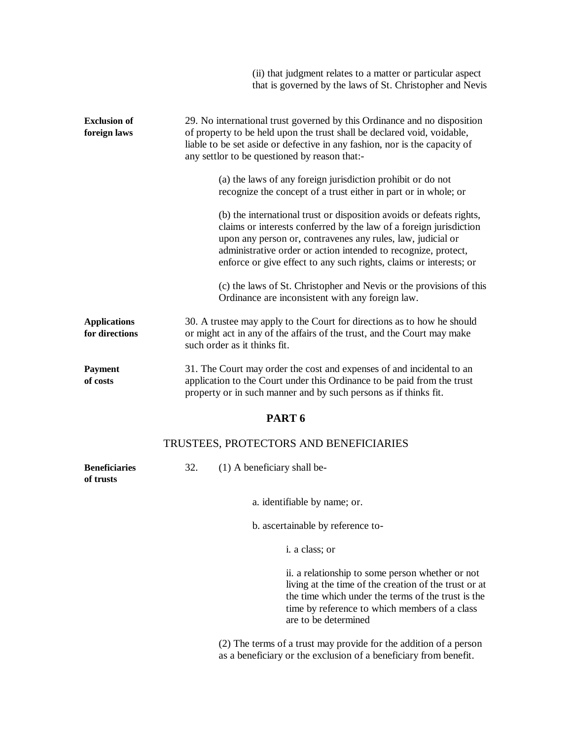|                                       | (ii) that judgment relates to a matter or particular aspect<br>that is governed by the laws of St. Christopher and Nevis                                                                                                                                                                                                                          |
|---------------------------------------|---------------------------------------------------------------------------------------------------------------------------------------------------------------------------------------------------------------------------------------------------------------------------------------------------------------------------------------------------|
| <b>Exclusion of</b><br>foreign laws   | 29. No international trust governed by this Ordinance and no disposition<br>of property to be held upon the trust shall be declared void, voidable,<br>liable to be set aside or defective in any fashion, nor is the capacity of<br>any settlor to be questioned by reason that:-                                                                |
|                                       | (a) the laws of any foreign jurisdiction prohibit or do not<br>recognize the concept of a trust either in part or in whole; or                                                                                                                                                                                                                    |
|                                       | (b) the international trust or disposition avoids or defeats rights,<br>claims or interests conferred by the law of a foreign jurisdiction<br>upon any person or, contravenes any rules, law, judicial or<br>administrative order or action intended to recognize, protect,<br>enforce or give effect to any such rights, claims or interests; or |
|                                       | (c) the laws of St. Christopher and Nevis or the provisions of this<br>Ordinance are inconsistent with any foreign law.                                                                                                                                                                                                                           |
| <b>Applications</b><br>for directions | 30. A trustee may apply to the Court for directions as to how he should<br>or might act in any of the affairs of the trust, and the Court may make<br>such order as it thinks fit.                                                                                                                                                                |
| <b>Payment</b><br>of costs            | 31. The Court may order the cost and expenses of and incidental to an<br>application to the Court under this Ordinance to be paid from the trust<br>property or in such manner and by such persons as if thinks fit.                                                                                                                              |
|                                       | PART <sub>6</sub>                                                                                                                                                                                                                                                                                                                                 |

# TRUSTEES, PROTECTORS AND BENEFICIARIES

| <b>Beneficiaries</b> | $(1)$ A beneficiary shall be- |
|----------------------|-------------------------------|
| of trusts            |                               |

a. identifiable by name; or.

b. ascertainable by reference to-

i. a class; or

ii. a relationship to some person whether or not living at the time of the creation of the trust or at the time which under the terms of the trust is the time by reference to which members of a class are to be determined

(2) The terms of a trust may provide for the addition of a person as a beneficiary or the exclusion of a beneficiary from benefit.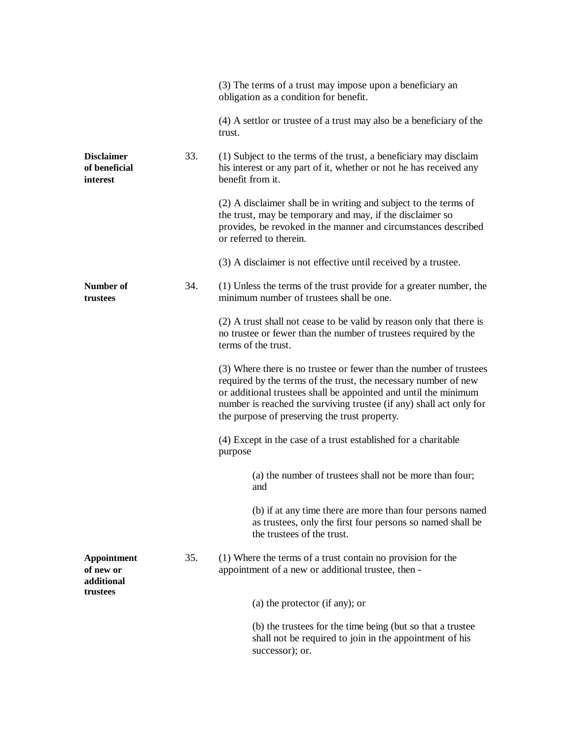|                                                |     | (3) The terms of a trust may impose upon a beneficiary an<br>obligation as a condition for benefit.                                                                                                                                                                                                                              |
|------------------------------------------------|-----|----------------------------------------------------------------------------------------------------------------------------------------------------------------------------------------------------------------------------------------------------------------------------------------------------------------------------------|
|                                                |     | (4) A settlor or trustee of a trust may also be a beneficiary of the<br>trust.                                                                                                                                                                                                                                                   |
| <b>Disclaimer</b><br>of beneficial<br>interest | 33. | (1) Subject to the terms of the trust, a beneficiary may disclaim<br>his interest or any part of it, whether or not he has received any<br>benefit from it.                                                                                                                                                                      |
|                                                |     | (2) A disclaimer shall be in writing and subject to the terms of<br>the trust, may be temporary and may, if the disclaimer so<br>provides, be revoked in the manner and circumstances described<br>or referred to therein.                                                                                                       |
|                                                |     | (3) A disclaimer is not effective until received by a trustee.                                                                                                                                                                                                                                                                   |
| Number of<br>trustees                          | 34. | (1) Unless the terms of the trust provide for a greater number, the<br>minimum number of trustees shall be one.                                                                                                                                                                                                                  |
|                                                |     | (2) A trust shall not cease to be valid by reason only that there is<br>no trustee or fewer than the number of trustees required by the<br>terms of the trust.                                                                                                                                                                   |
|                                                |     | (3) Where there is no trustee or fewer than the number of trustees<br>required by the terms of the trust, the necessary number of new<br>or additional trustees shall be appointed and until the minimum<br>number is reached the surviving trustee (if any) shall act only for<br>the purpose of preserving the trust property. |
|                                                |     | (4) Except in the case of a trust established for a charitable<br>purpose                                                                                                                                                                                                                                                        |
|                                                |     | (a) the number of trustees shall not be more than four;<br>and                                                                                                                                                                                                                                                                   |
|                                                |     | (b) if at any time there are more than four persons named<br>as trustees, only the first four persons so named shall be<br>the trustees of the trust.                                                                                                                                                                            |
| Appointment<br>of new or<br>additional         | 35. | (1) Where the terms of a trust contain no provision for the<br>appointment of a new or additional trustee, then -                                                                                                                                                                                                                |
| trustees                                       |     | (a) the protector (if any); or                                                                                                                                                                                                                                                                                                   |
|                                                |     | (b) the trustees for the time being (but so that a trustee<br>shall not be required to join in the appointment of his<br>successor); or.                                                                                                                                                                                         |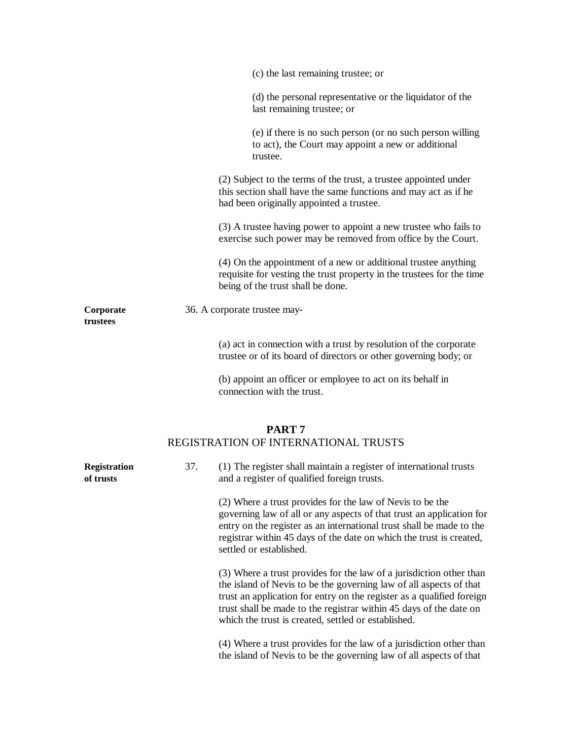|                                  |     | (c) the last remaining trustee; or                                                                                                                                                                                                                                                                                                              |
|----------------------------------|-----|-------------------------------------------------------------------------------------------------------------------------------------------------------------------------------------------------------------------------------------------------------------------------------------------------------------------------------------------------|
|                                  |     | (d) the personal representative or the liquidator of the<br>last remaining trustee; or                                                                                                                                                                                                                                                          |
|                                  |     | (e) if there is no such person (or no such person willing<br>to act), the Court may appoint a new or additional<br>trustee.                                                                                                                                                                                                                     |
|                                  |     | (2) Subject to the terms of the trust, a trustee appointed under<br>this section shall have the same functions and may act as if he<br>had been originally appointed a trustee.                                                                                                                                                                 |
|                                  |     | (3) A trustee having power to appoint a new trustee who fails to<br>exercise such power may be removed from office by the Court.                                                                                                                                                                                                                |
|                                  |     | (4) On the appointment of a new or additional trustee anything<br>requisite for vesting the trust property in the trustees for the time<br>being of the trust shall be done.                                                                                                                                                                    |
| Corporate<br>trustees            |     | 36. A corporate trustee may-                                                                                                                                                                                                                                                                                                                    |
|                                  |     | (a) act in connection with a trust by resolution of the corporate<br>trustee or of its board of directors or other governing body; or                                                                                                                                                                                                           |
|                                  |     | (b) appoint an officer or employee to act on its behalf in<br>connection with the trust.                                                                                                                                                                                                                                                        |
|                                  |     | PART <sub>7</sub><br>REGISTRATION OF INTERNATIONAL TRUSTS                                                                                                                                                                                                                                                                                       |
| <b>Registration</b><br>of trusts | 37. | (1) The register shall maintain a register of international trusts<br>and a register of qualified foreign trusts.                                                                                                                                                                                                                               |
|                                  |     | (2) Where a trust provides for the law of Nevis to be the<br>governing law of all or any aspects of that trust an application for<br>entry on the register as an international trust shall be made to the<br>registrar within 45 days of the date on which the trust is created,<br>settled or established.                                     |
|                                  |     | (3) Where a trust provides for the law of a jurisdiction other than<br>the island of Nevis to be the governing law of all aspects of that<br>trust an application for entry on the register as a qualified foreign<br>trust shall be made to the registrar within 45 days of the date on<br>which the trust is created, settled or established. |

(4) Where a trust provides for the law of a jurisdiction other than the island of Nevis to be the governing law of all aspects of that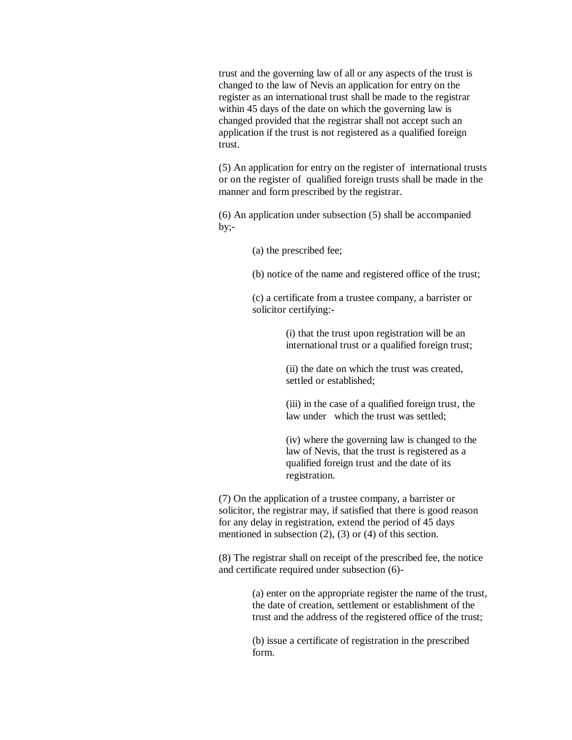trust and the governing law of all or any aspects of the trust is changed to the law of Nevis an application for entry on the register as an international trust shall be made to the registrar within 45 days of the date on which the governing law is changed provided that the registrar shall not accept such an application if the trust is not registered as a qualified foreign trust.

(5) An application for entry on the register of international trusts or on the register of qualified foreign trusts shall be made in the manner and form prescribed by the registrar.

(6) An application under subsection (5) shall be accompanied  $by:-$ 

(a) the prescribed fee;

(b) notice of the name and registered office of the trust;

(c) a certificate from a trustee company, a barrister or solicitor certifying:-

> (i) that the trust upon registration will be an international trust or a qualified foreign trust;

(ii) the date on which the trust was created, settled or established;

(iii) in the case of a qualified foreign trust, the law under which the trust was settled;

(iv) where the governing law is changed to the law of Nevis, that the trust is registered as a qualified foreign trust and the date of its registration.

(7) On the application of a trustee company, a barrister or solicitor, the registrar may, if satisfied that there is good reason for any delay in registration, extend the period of 45 days mentioned in subsection (2), (3) or (4) of this section.

(8) The registrar shall on receipt of the prescribed fee, the notice and certificate required under subsection (6)-

> (a) enter on the appropriate register the name of the trust, the date of creation, settlement or establishment of the trust and the address of the registered office of the trust;

(b) issue a certificate of registration in the prescribed form.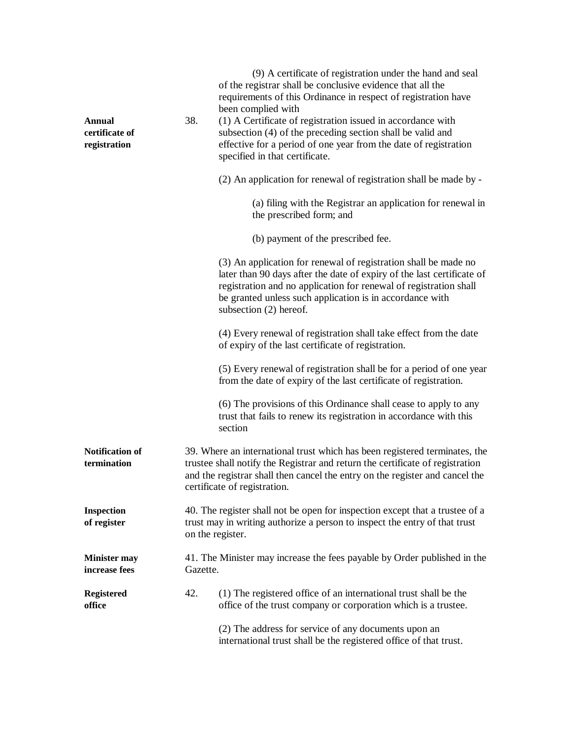| <b>Annual</b><br>certificate of<br>registration | 38.                                                                                                                                                                                                                                                                         | (9) A certificate of registration under the hand and seal<br>of the registrar shall be conclusive evidence that all the<br>requirements of this Ordinance in respect of registration have<br>been complied with<br>(1) A Certificate of registration issued in accordance with<br>subsection (4) of the preceding section shall be valid and<br>effective for a period of one year from the date of registration<br>specified in that certificate. |
|-------------------------------------------------|-----------------------------------------------------------------------------------------------------------------------------------------------------------------------------------------------------------------------------------------------------------------------------|----------------------------------------------------------------------------------------------------------------------------------------------------------------------------------------------------------------------------------------------------------------------------------------------------------------------------------------------------------------------------------------------------------------------------------------------------|
|                                                 |                                                                                                                                                                                                                                                                             | (2) An application for renewal of registration shall be made by -                                                                                                                                                                                                                                                                                                                                                                                  |
|                                                 |                                                                                                                                                                                                                                                                             | (a) filing with the Registrar an application for renewal in<br>the prescribed form; and                                                                                                                                                                                                                                                                                                                                                            |
|                                                 |                                                                                                                                                                                                                                                                             | (b) payment of the prescribed fee.                                                                                                                                                                                                                                                                                                                                                                                                                 |
|                                                 |                                                                                                                                                                                                                                                                             | (3) An application for renewal of registration shall be made no<br>later than 90 days after the date of expiry of the last certificate of<br>registration and no application for renewal of registration shall<br>be granted unless such application is in accordance with<br>subsection (2) hereof.                                                                                                                                               |
|                                                 |                                                                                                                                                                                                                                                                             | (4) Every renewal of registration shall take effect from the date<br>of expiry of the last certificate of registration.                                                                                                                                                                                                                                                                                                                            |
|                                                 |                                                                                                                                                                                                                                                                             | (5) Every renewal of registration shall be for a period of one year<br>from the date of expiry of the last certificate of registration.                                                                                                                                                                                                                                                                                                            |
|                                                 |                                                                                                                                                                                                                                                                             | (6) The provisions of this Ordinance shall cease to apply to any<br>trust that fails to renew its registration in accordance with this<br>section                                                                                                                                                                                                                                                                                                  |
| <b>Notification of</b><br>termination           | 39. Where an international trust which has been registered terminates, the<br>trustee shall notify the Registrar and return the certificate of registration<br>and the registrar shall then cancel the entry on the register and cancel the<br>certificate of registration. |                                                                                                                                                                                                                                                                                                                                                                                                                                                    |
| <b>Inspection</b><br>of register                | 40. The register shall not be open for inspection except that a trustee of a<br>trust may in writing authorize a person to inspect the entry of that trust<br>on the register.                                                                                              |                                                                                                                                                                                                                                                                                                                                                                                                                                                    |
| <b>Minister may</b><br>increase fees            | 41. The Minister may increase the fees payable by Order published in the<br>Gazette.                                                                                                                                                                                        |                                                                                                                                                                                                                                                                                                                                                                                                                                                    |
| <b>Registered</b><br>office                     | 42.                                                                                                                                                                                                                                                                         | (1) The registered office of an international trust shall be the<br>office of the trust company or corporation which is a trustee.                                                                                                                                                                                                                                                                                                                 |
|                                                 |                                                                                                                                                                                                                                                                             | (2) The address for service of any documents upon an<br>international trust shall be the registered office of that trust.                                                                                                                                                                                                                                                                                                                          |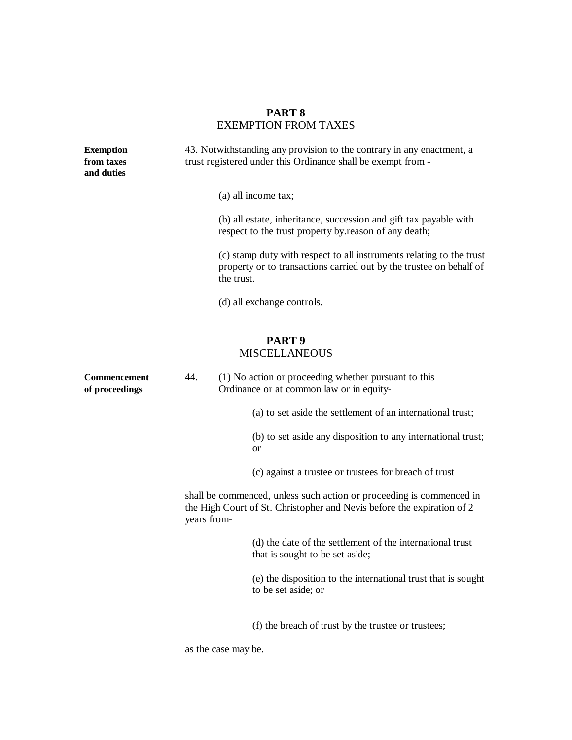# **PART 8** EXEMPTION FROM TAXES

| <b>Exemption</b><br>from taxes<br>and duties | 43. Notwithstanding any provision to the contrary in any enactment, a<br>trust registered under this Ordinance shall be exempt from -                         |  |
|----------------------------------------------|---------------------------------------------------------------------------------------------------------------------------------------------------------------|--|
|                                              | (a) all income tax;<br>(b) all estate, inheritance, succession and gift tax payable with<br>respect to the trust property by reason of any death;             |  |
|                                              | (c) stamp duty with respect to all instruments relating to the trust<br>property or to transactions carried out by the trustee on behalf of<br>the trust.     |  |
|                                              | (d) all exchange controls.                                                                                                                                    |  |
|                                              | PART <sub>9</sub><br><b>MISCELLANEOUS</b>                                                                                                                     |  |
| <b>Commencement</b><br>of proceedings        | 44.<br>(1) No action or proceeding whether pursuant to this<br>Ordinance or at common law or in equity-                                                       |  |
|                                              | (a) to set aside the settlement of an international trust;                                                                                                    |  |
|                                              | (b) to set aside any disposition to any international trust;<br>or                                                                                            |  |
|                                              | (c) against a trustee or trustees for breach of trust                                                                                                         |  |
|                                              | shall be commenced, unless such action or proceeding is commenced in<br>the High Court of St. Christopher and Nevis before the expiration of 2<br>years from- |  |
|                                              | (d) the date of the settlement of the international trust<br>that is sought to be set aside;                                                                  |  |
|                                              | (e) the disposition to the international trust that is sought<br>to be set aside; or                                                                          |  |
|                                              | (f) the breach of trust by the trustee or trustees;                                                                                                           |  |

as the case may be.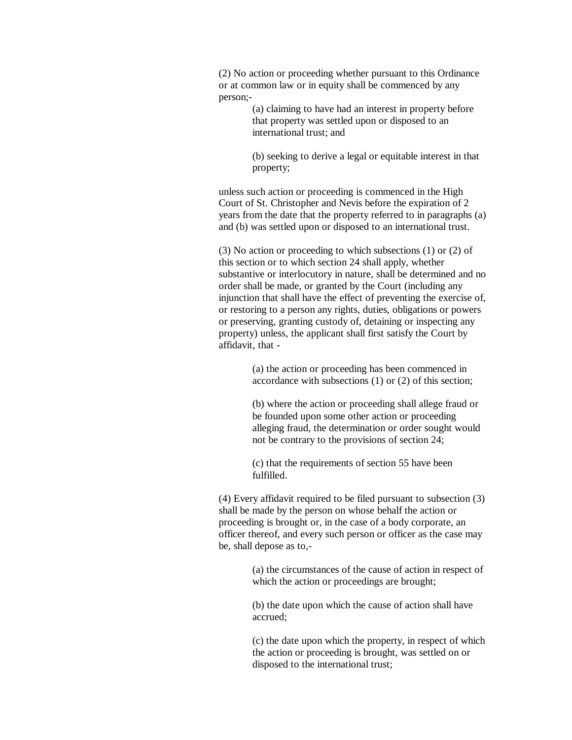(2) No action or proceeding whether pursuant to this Ordinance or at common law or in equity shall be commenced by any person;-

> (a) claiming to have had an interest in property before that property was settled upon or disposed to an international trust; and

(b) seeking to derive a legal or equitable interest in that property;

unless such action or proceeding is commenced in the High Court of St. Christopher and Nevis before the expiration of 2 years from the date that the property referred to in paragraphs (a) and (b) was settled upon or disposed to an international trust.

(3) No action or proceeding to which subsections (1) or (2) of this section or to which section 24 shall apply, whether substantive or interlocutory in nature, shall be determined and no order shall be made, or granted by the Court (including any injunction that shall have the effect of preventing the exercise of, or restoring to a person any rights, duties, obligations or powers or preserving, granting custody of, detaining or inspecting any property) unless, the applicant shall first satisfy the Court by affidavit, that -

> (a) the action or proceeding has been commenced in accordance with subsections (1) or (2) of this section;

(b) where the action or proceeding shall allege fraud or be founded upon some other action or proceeding alleging fraud, the determination or order sought would not be contrary to the provisions of section 24;

(c) that the requirements of section 55 have been fulfilled.

(4) Every affidavit required to be filed pursuant to subsection (3) shall be made by the person on whose behalf the action or proceeding is brought or, in the case of a body corporate, an officer thereof, and every such person or officer as the case may be, shall depose as to,-

> (a) the circumstances of the cause of action in respect of which the action or proceedings are brought;

(b) the date upon which the cause of action shall have accrued;

(c) the date upon which the property, in respect of which the action or proceeding is brought, was settled on or disposed to the international trust;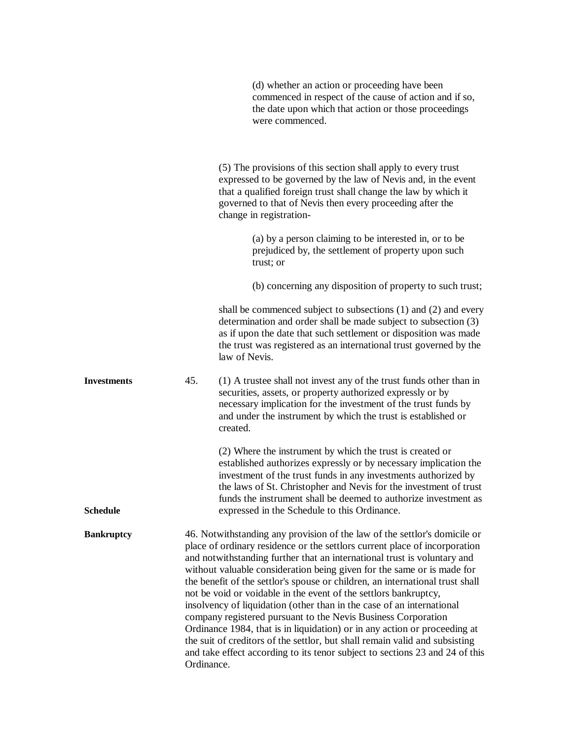|                    |            | (d) whether an action or proceeding have been<br>commenced in respect of the cause of action and if so,<br>the date upon which that action or those proceedings<br>were commenced.                                                                                                                                                                                                                                                                                                                                                                                                                                                                                                                                                                                                                                                                       |
|--------------------|------------|----------------------------------------------------------------------------------------------------------------------------------------------------------------------------------------------------------------------------------------------------------------------------------------------------------------------------------------------------------------------------------------------------------------------------------------------------------------------------------------------------------------------------------------------------------------------------------------------------------------------------------------------------------------------------------------------------------------------------------------------------------------------------------------------------------------------------------------------------------|
|                    |            | (5) The provisions of this section shall apply to every trust<br>expressed to be governed by the law of Nevis and, in the event<br>that a qualified foreign trust shall change the law by which it<br>governed to that of Nevis then every proceeding after the<br>change in registration-                                                                                                                                                                                                                                                                                                                                                                                                                                                                                                                                                               |
|                    |            | (a) by a person claiming to be interested in, or to be<br>prejudiced by, the settlement of property upon such<br>trust; or                                                                                                                                                                                                                                                                                                                                                                                                                                                                                                                                                                                                                                                                                                                               |
|                    |            | (b) concerning any disposition of property to such trust;                                                                                                                                                                                                                                                                                                                                                                                                                                                                                                                                                                                                                                                                                                                                                                                                |
|                    |            | shall be commenced subject to subsections $(1)$ and $(2)$ and every<br>determination and order shall be made subject to subsection (3)<br>as if upon the date that such settlement or disposition was made<br>the trust was registered as an international trust governed by the<br>law of Nevis.                                                                                                                                                                                                                                                                                                                                                                                                                                                                                                                                                        |
| <b>Investments</b> | 45.        | (1) A trustee shall not invest any of the trust funds other than in<br>securities, assets, or property authorized expressly or by<br>necessary implication for the investment of the trust funds by<br>and under the instrument by which the trust is established or<br>created.                                                                                                                                                                                                                                                                                                                                                                                                                                                                                                                                                                         |
| <b>Schedule</b>    |            | (2) Where the instrument by which the trust is created or<br>established authorizes expressly or by necessary implication the<br>investment of the trust funds in any investments authorized by<br>the laws of St. Christopher and Nevis for the investment of trust<br>funds the instrument shall be deemed to authorize investment as<br>expressed in the Schedule to this Ordinance.                                                                                                                                                                                                                                                                                                                                                                                                                                                                  |
| <b>Bankruptcy</b>  | Ordinance. | 46. Notwithstanding any provision of the law of the settlor's domicile or<br>place of ordinary residence or the settlors current place of incorporation<br>and notwithstanding further that an international trust is voluntary and<br>without valuable consideration being given for the same or is made for<br>the benefit of the settlor's spouse or children, an international trust shall<br>not be void or voidable in the event of the settlors bankruptcy,<br>insolvency of liquidation (other than in the case of an international<br>company registered pursuant to the Nevis Business Corporation<br>Ordinance 1984, that is in liquidation) or in any action or proceeding at<br>the suit of creditors of the settlor, but shall remain valid and subsisting<br>and take effect according to its tenor subject to sections 23 and 24 of this |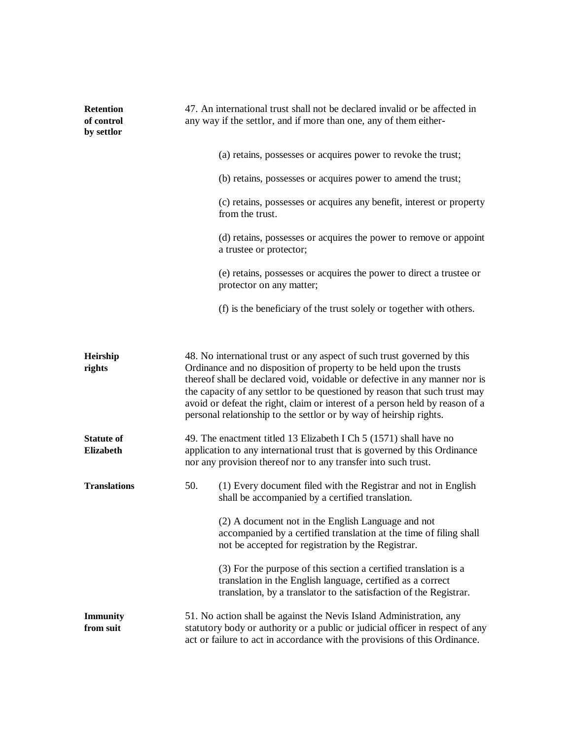| <b>Retention</b><br>of control<br>by settlor | 47. An international trust shall not be declared invalid or be affected in<br>any way if the settlor, and if more than one, any of them either- |  |
|----------------------------------------------|-------------------------------------------------------------------------------------------------------------------------------------------------|--|
|                                              | (a) retains, possesses or acquires power to revoke the trust;                                                                                   |  |
|                                              | (b) retains, possesses or acquires power to amend the trust;                                                                                    |  |
|                                              | (c) retains, possesses or acquires any benefit, interest or property<br>from the trust.                                                         |  |
|                                              | (d) retains, possesses or acquires the power to remove or appoint<br>a trustee or protector;                                                    |  |
|                                              | (e) retains, possesses or acquires the power to direct a trustee or<br>protector on any matter;                                                 |  |
|                                              | (f) is the beneficiary of the trust solely or together with others.                                                                             |  |
|                                              |                                                                                                                                                 |  |

| Heirship<br>rights                    | 48. No international trust or any aspect of such trust governed by this<br>Ordinance and no disposition of property to be held upon the trusts<br>thereof shall be declared void, voidable or defective in any manner nor is<br>the capacity of any settlor to be questioned by reason that such trust may<br>avoid or defeat the right, claim or interest of a person held by reason of a<br>personal relationship to the settlor or by way of heirship rights. |                                                                                                                                                                                                       |
|---------------------------------------|------------------------------------------------------------------------------------------------------------------------------------------------------------------------------------------------------------------------------------------------------------------------------------------------------------------------------------------------------------------------------------------------------------------------------------------------------------------|-------------------------------------------------------------------------------------------------------------------------------------------------------------------------------------------------------|
| <b>Statute of</b><br><b>Elizabeth</b> | 49. The enactment titled 13 Elizabeth I Ch 5 (1571) shall have no<br>application to any international trust that is governed by this Ordinance<br>nor any provision thereof nor to any transfer into such trust.                                                                                                                                                                                                                                                 |                                                                                                                                                                                                       |
| <b>Translations</b>                   | 50.                                                                                                                                                                                                                                                                                                                                                                                                                                                              | (1) Every document filed with the Registrar and not in English<br>shall be accompanied by a certified translation.                                                                                    |
|                                       |                                                                                                                                                                                                                                                                                                                                                                                                                                                                  | (2) A document not in the English Language and not<br>accompanied by a certified translation at the time of filing shall<br>not be accepted for registration by the Registrar.                        |
|                                       |                                                                                                                                                                                                                                                                                                                                                                                                                                                                  | (3) For the purpose of this section a certified translation is a<br>translation in the English language, certified as a correct<br>translation, by a translator to the satisfaction of the Registrar. |
| <b>Immunity</b><br>from suit          | 51. No action shall be against the Nevis Island Administration, any<br>statutory body or authority or a public or judicial officer in respect of any<br>act or failure to act in accordance with the provisions of this Ordinance.                                                                                                                                                                                                                               |                                                                                                                                                                                                       |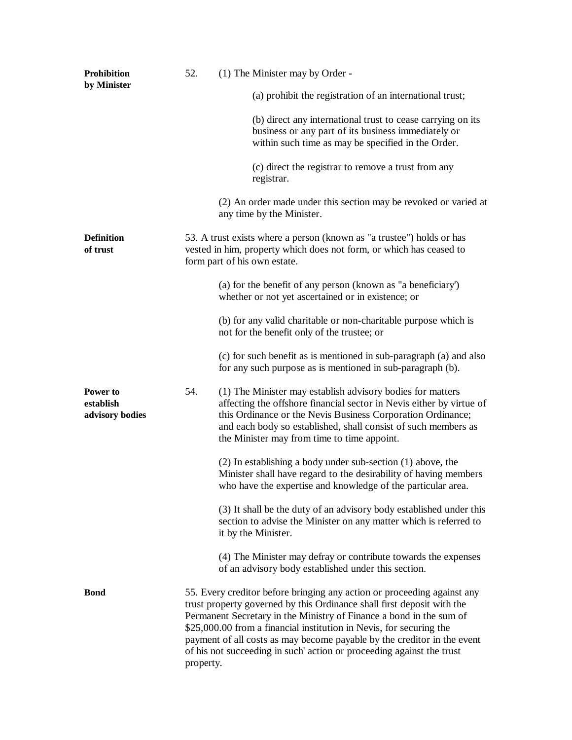| <b>Prohibition</b><br>by Minister        | 52.       | (1) The Minister may by Order -                                                                                                                                                                                                                                                                                                                                                                                                                    |
|------------------------------------------|-----------|----------------------------------------------------------------------------------------------------------------------------------------------------------------------------------------------------------------------------------------------------------------------------------------------------------------------------------------------------------------------------------------------------------------------------------------------------|
|                                          |           | (a) prohibit the registration of an international trust;                                                                                                                                                                                                                                                                                                                                                                                           |
|                                          |           | (b) direct any international trust to cease carrying on its<br>business or any part of its business immediately or<br>within such time as may be specified in the Order.                                                                                                                                                                                                                                                                           |
|                                          |           | (c) direct the registrar to remove a trust from any<br>registrar.                                                                                                                                                                                                                                                                                                                                                                                  |
|                                          |           | (2) An order made under this section may be revoked or varied at<br>any time by the Minister.                                                                                                                                                                                                                                                                                                                                                      |
| <b>Definition</b><br>of trust            |           | 53. A trust exists where a person (known as "a trustee") holds or has<br>vested in him, property which does not form, or which has ceased to<br>form part of his own estate.                                                                                                                                                                                                                                                                       |
|                                          |           | (a) for the benefit of any person (known as "a beneficiary")<br>whether or not yet ascertained or in existence; or                                                                                                                                                                                                                                                                                                                                 |
|                                          |           | (b) for any valid charitable or non-charitable purpose which is<br>not for the benefit only of the trustee; or                                                                                                                                                                                                                                                                                                                                     |
|                                          |           | (c) for such benefit as is mentioned in sub-paragraph (a) and also<br>for any such purpose as is mentioned in sub-paragraph (b).                                                                                                                                                                                                                                                                                                                   |
| Power to<br>establish<br>advisory bodies | 54.       | (1) The Minister may establish advisory bodies for matters<br>affecting the offshore financial sector in Nevis either by virtue of<br>this Ordinance or the Nevis Business Corporation Ordinance;<br>and each body so established, shall consist of such members as<br>the Minister may from time to time appoint.                                                                                                                                 |
|                                          |           | $(2)$ In establishing a body under sub-section $(1)$ above, the<br>Minister shall have regard to the desirability of having members<br>who have the expertise and knowledge of the particular area.                                                                                                                                                                                                                                                |
|                                          |           | (3) It shall be the duty of an advisory body established under this<br>section to advise the Minister on any matter which is referred to<br>it by the Minister.                                                                                                                                                                                                                                                                                    |
|                                          |           | (4) The Minister may defray or contribute towards the expenses<br>of an advisory body established under this section.                                                                                                                                                                                                                                                                                                                              |
| <b>Bond</b>                              | property. | 55. Every creditor before bringing any action or proceeding against any<br>trust property governed by this Ordinance shall first deposit with the<br>Permanent Secretary in the Ministry of Finance a bond in the sum of<br>\$25,000.00 from a financial institution in Nevis, for securing the<br>payment of all costs as may become payable by the creditor in the event<br>of his not succeeding in such action or proceeding against the trust |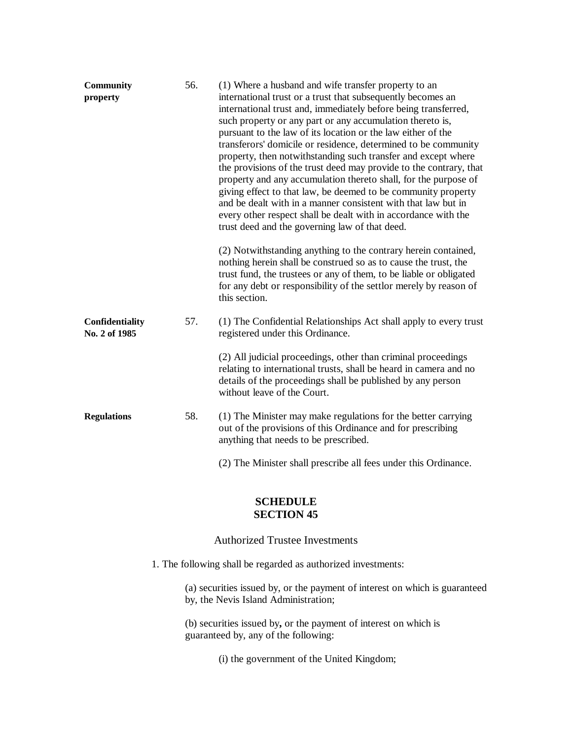| <b>Community</b><br>property            | 56. | (1) Where a husband and wife transfer property to an<br>international trust or a trust that subsequently becomes an<br>international trust and, immediately before being transferred,<br>such property or any part or any accumulation thereto is,<br>pursuant to the law of its location or the law either of the<br>transferors' domicile or residence, determined to be community<br>property, then notwithstanding such transfer and except where<br>the provisions of the trust deed may provide to the contrary, that<br>property and any accumulation thereto shall, for the purpose of<br>giving effect to that law, be deemed to be community property<br>and be dealt with in a manner consistent with that law but in<br>every other respect shall be dealt with in accordance with the<br>trust deed and the governing law of that deed. |
|-----------------------------------------|-----|------------------------------------------------------------------------------------------------------------------------------------------------------------------------------------------------------------------------------------------------------------------------------------------------------------------------------------------------------------------------------------------------------------------------------------------------------------------------------------------------------------------------------------------------------------------------------------------------------------------------------------------------------------------------------------------------------------------------------------------------------------------------------------------------------------------------------------------------------|
|                                         |     | (2) Notwithstanding anything to the contrary herein contained,<br>nothing herein shall be construed so as to cause the trust, the<br>trust fund, the trustees or any of them, to be liable or obligated<br>for any debt or responsibility of the settlor merely by reason of<br>this section.                                                                                                                                                                                                                                                                                                                                                                                                                                                                                                                                                        |
| <b>Confidentiality</b><br>No. 2 of 1985 | 57. | (1) The Confidential Relationships Act shall apply to every trust<br>registered under this Ordinance.                                                                                                                                                                                                                                                                                                                                                                                                                                                                                                                                                                                                                                                                                                                                                |
|                                         |     | (2) All judicial proceedings, other than criminal proceedings<br>relating to international trusts, shall be heard in camera and no<br>details of the proceedings shall be published by any person<br>without leave of the Court.                                                                                                                                                                                                                                                                                                                                                                                                                                                                                                                                                                                                                     |
| <b>Regulations</b>                      | 58. | (1) The Minister may make regulations for the better carrying<br>out of the provisions of this Ordinance and for prescribing<br>anything that needs to be prescribed.                                                                                                                                                                                                                                                                                                                                                                                                                                                                                                                                                                                                                                                                                |
|                                         |     | (2) The Minister shall prescribe all fees under this Ordinance.                                                                                                                                                                                                                                                                                                                                                                                                                                                                                                                                                                                                                                                                                                                                                                                      |

# **SCHEDULE SECTION 45**

# Authorized Trustee Investments

1. The following shall be regarded as authorized investments:

(a) securities issued by, or the payment of interest on which is guaranteed by, the Nevis Island Administration;

(b) securities issued by**,** or the payment of interest on which is guaranteed by, any of the following:

(i) the government of the United Kingdom;